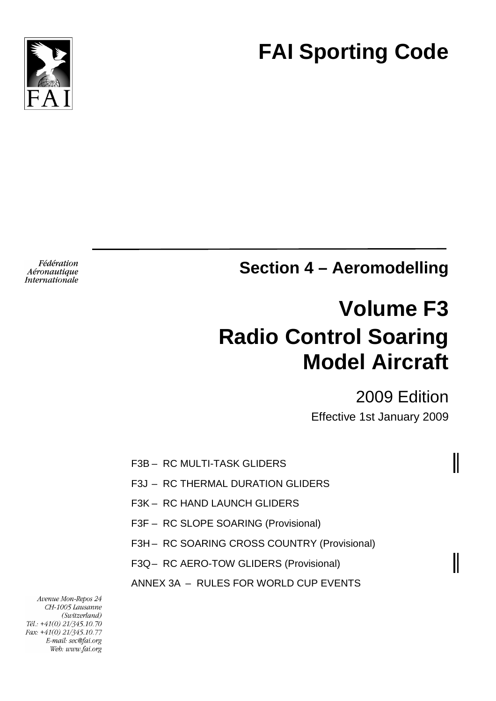**FAI Sporting Code**



Fédération Aéronautique *Internationale*  **Section 4 – Aeromodelling** 

# **Volume F3 Radio Control Soaring Model Aircraft**

2009 Edition Effective 1st January 2009

II

I

- F3B RC MULTI-TASK GLIDERS
- F3J RC THERMAL DURATION GLIDERS
- F3K RC HAND LAUNCH GLIDERS
- F3F RC SLOPE SOARING (Provisional)
- F3H RC SOARING CROSS COUNTRY (Provisional)
- F3Q RC AERO-TOW GLIDERS (Provisional)
- ANNEX 3A RULES FOR WORLD CUP EVENTS

Avenue Mon-Rebos 24 CH-1005 Lausanne (Switzerland) Tél.: +41(0) 21/345.10.70 Fax: +41(0) 21/345.10.77 E-mail: sec@fai.org Web: www.fai.org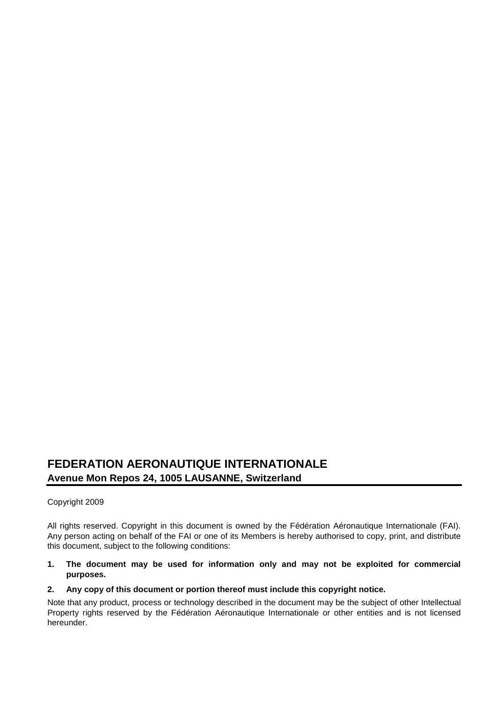# **FEDERATION AERONAUTIQUE INTERNATIONALE Avenue Mon Repos 24, 1005 LAUSANNE, Switzerland**

#### Copyright 2009

All rights reserved. Copyright in this document is owned by the Fédération Aéronautique Internationale (FAI). Any person acting on behalf of the FAI or one of its Members is hereby authorised to copy, print, and distribute this document, subject to the following conditions:

#### **1. The document may be used for information only and may not be exploited for commercial purposes.**

#### **2. Any copy of this document or portion thereof must include this copyright notice.**

Note that any product, process or technology described in the document may be the subject of other Intellectual Property rights reserved by the Fédération Aéronautique Internationale or other entities and is not licensed hereunder.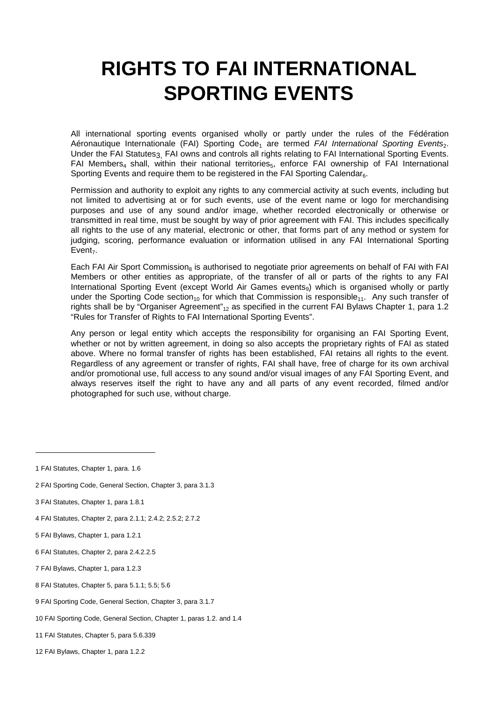# **RIGHTS TO FAI INTERNATIONAL SPORTING EVENTS**

All international sporting events organised wholly or partly under the rules of the Fédération Aéronautique Internationale (FAI) Sporting Code<sub>1</sub> are termed FAI International Sporting Events, Under the FAI Statutes3, FAI owns and controls all rights relating to FAI International Sporting Events. FAI Members<sub>4</sub> shall, within their national territories<sub>5</sub>, enforce FAI ownership of FAI International Sporting Events and require them to be registered in the FAI Sporting Calendar<sub>6</sub>.

Permission and authority to exploit any rights to any commercial activity at such events, including but not limited to advertising at or for such events, use of the event name or logo for merchandising purposes and use of any sound and/or image, whether recorded electronically or otherwise or transmitted in real time, must be sought by way of prior agreement with FAI. This includes specifically all rights to the use of any material, electronic or other, that forms part of any method or system for judging, scoring, performance evaluation or information utilised in any FAI International Sporting Event $<sub>7</sub>$ .</sub>

Each FAI Air Sport Commission<sub>8</sub> is authorised to negotiate prior agreements on behalf of FAI with FAI Members or other entities as appropriate, of the transfer of all or parts of the rights to any FAI International Sporting Event (except World Air Games events<sub>9</sub>) which is organised wholly or partly under the Sporting Code section<sub>10</sub> for which that Commission is responsible<sub>11</sub>. Any such transfer of rights shall be by "Organiser Agreement"<sub>12</sub> as specified in the current FAI Bylaws Chapter 1, para 1.2 "Rules for Transfer of Rights to FAI International Sporting Events".

Any person or legal entity which accepts the responsibility for organising an FAI Sporting Event, whether or not by written agreement, in doing so also accepts the proprietary rights of FAI as stated above. Where no formal transfer of rights has been established, FAI retains all rights to the event. Regardless of any agreement or transfer of rights, FAI shall have, free of charge for its own archival and/or promotional use, full access to any sound and/or visual images of any FAI Sporting Event, and always reserves itself the right to have any and all parts of any event recorded, filmed and/or photographed for such use, without charge.

 $\overline{a}$ 

- 3 FAI Statutes, Chapter 1, para 1.8.1
- 4 FAI Statutes, Chapter 2, para 2.1.1; 2.4.2; 2.5.2; 2.7.2
- 5 FAI Bylaws, Chapter 1, para 1.2.1
- 6 FAI Statutes, Chapter 2, para 2.4.2.2.5
- 7 FAI Bylaws, Chapter 1, para 1.2.3
- 8 FAI Statutes, Chapter 5, para 5.1.1; 5.5; 5.6
- 9 FAI Sporting Code, General Section, Chapter 3, para 3.1.7
- 10 FAI Sporting Code, General Section, Chapter 1, paras 1.2. and 1.4
- 11 FAI Statutes, Chapter 5, para 5.6.339
- 12 FAI Bylaws, Chapter 1, para 1.2.2

<sup>1</sup> FAI Statutes, Chapter 1, para. 1.6

<sup>2</sup> FAI Sporting Code, General Section, Chapter 3, para 3.1.3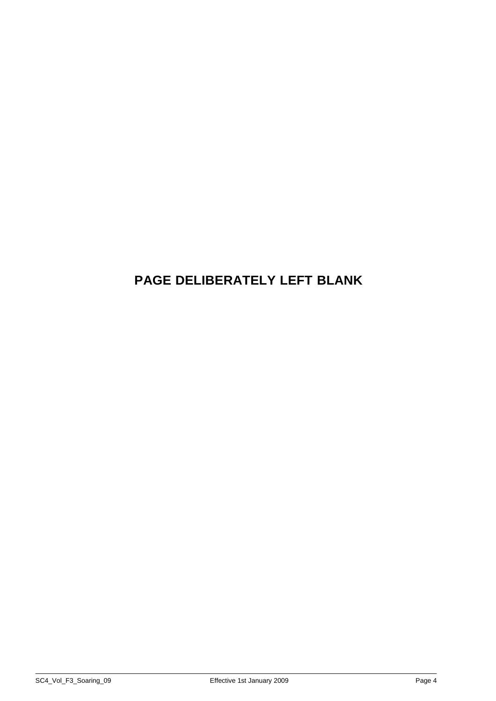# **PAGE DELIBERATELY LEFT BLANK**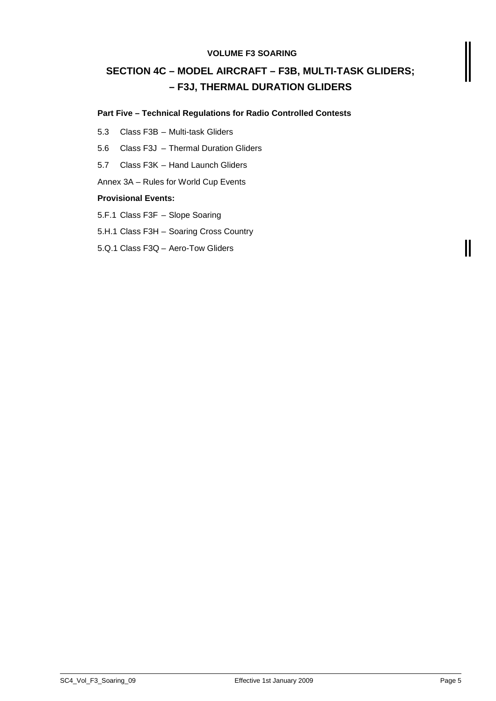#### **VOLUME F3 SOARING**

# **SECTION 4C – MODEL AIRCRAFT – F3B, MULTI-TASK GLIDERS; – F3J, THERMAL DURATION GLIDERS**

#### **Part Five – Technical Regulations for Radio Controlled Contests**

- 5.3 Class F3B Multi-task Gliders
- 5.6 Class F3J Thermal Duration Gliders
- 5.7 Class F3K Hand Launch Gliders

Annex 3A – Rules for World Cup Events

#### **Provisional Events:**

- 5.F.1 Class F3F Slope Soaring
- 5.H.1 Class F3H Soaring Cross Country
- 5.Q.1 Class F3Q Aero-Tow Gliders

 $\mathbb I$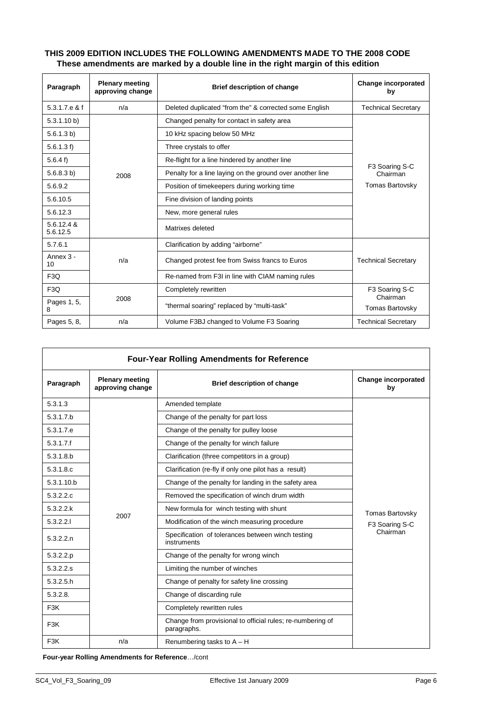# **THIS 2009 EDITION INCLUDES THE FOLLOWING AMENDMENTS MADE TO THE 2008 CODE These amendments are marked by a double line in the right margin of this edition**

| Paragraph              | <b>Plenary meeting</b><br>approving change | <b>Brief description of change</b>                        | <b>Change incorporated</b><br>by |
|------------------------|--------------------------------------------|-----------------------------------------------------------|----------------------------------|
| 5.3.1.7.e & f          | n/a                                        | Deleted duplicated "from the" & corrected some English    | <b>Technical Secretary</b>       |
| 5.3.1.10 b             |                                            | Changed penalty for contact in safety area                |                                  |
| 5.6.1.3 b)             |                                            | 10 kHz spacing below 50 MHz                               |                                  |
| 5.6.1.3 f              |                                            | Three crystals to offer                                   |                                  |
| 5.6.4 f                |                                            | Re-flight for a line hindered by another line             | F3 Soaring S-C                   |
| 5.6.8.3 b)             | 2008                                       | Penalty for a line laying on the ground over another line | Chairman                         |
| 5.6.9.2                |                                            | Position of timekeepers during working time               | Tomas Bartovsky                  |
| 5.6.10.5               |                                            | Fine division of landing points                           |                                  |
| 5.6.12.3               |                                            | New, more general rules                                   |                                  |
| 5.6.12.4 &<br>5.6.12.5 |                                            | Matrixes deleted                                          |                                  |
| 5.7.6.1                |                                            | Clarification by adding "airborne"                        |                                  |
| Annex 3 -<br>10        | n/a                                        | Changed protest fee from Swiss francs to Euros            | <b>Technical Secretary</b>       |
| F <sub>3</sub> Q       |                                            | Re-named from F3I in line with CIAM naming rules          |                                  |
| F <sub>3</sub> Q       |                                            | Completely rewritten                                      | F3 Soaring S-C<br>Chairman       |
| Pages 1, 5,<br>8       | 2008                                       | "thermal soaring" replaced by "multi-task"                | <b>Tomas Bartovsky</b>           |
| Pages 5, 8,            | n/a                                        | Volume F3BJ changed to Volume F3 Soaring                  | <b>Technical Secretary</b>       |

| <b>Four-Year Rolling Amendments for Reference</b> |                                                                           |                                                                           |                 |  |
|---------------------------------------------------|---------------------------------------------------------------------------|---------------------------------------------------------------------------|-----------------|--|
| Paragraph                                         | <b>Plenary meeting</b><br>Brief description of change<br>approving change |                                                                           |                 |  |
| 5.3.1.3                                           |                                                                           | Amended template                                                          |                 |  |
| 5.3.1.7.b                                         |                                                                           | Change of the penalty for part loss                                       |                 |  |
| 5.3.1.7.e                                         |                                                                           | Change of the penalty for pulley loose                                    |                 |  |
| 5.3.1.7.f                                         |                                                                           | Change of the penalty for winch failure                                   |                 |  |
| 5.3.1.8.b                                         |                                                                           | Clarification (three competitors in a group)                              |                 |  |
| 5.3.1.8.c                                         |                                                                           | Clarification (re-fly if only one pilot has a result)                     |                 |  |
| 5.3.1.10.b                                        | 2007                                                                      | Change of the penalty for landing in the safety area                      |                 |  |
| 5.3.2.2.c                                         |                                                                           | Removed the specification of winch drum width                             |                 |  |
| 5.3.2.2.k                                         |                                                                           | New formula for winch testing with shunt                                  | Tomas Bartovsky |  |
| 5.3.2.2.1                                         |                                                                           | Modification of the winch measuring procedure                             | F3 Soaring S-C  |  |
| 5.3.2.2.n                                         |                                                                           | Specification of tolerances between winch testing<br>instruments          | Chairman        |  |
| 5.3.2.2.p                                         |                                                                           | Change of the penalty for wrong winch                                     |                 |  |
| 5.3.2.2.s                                         |                                                                           | Limiting the number of winches                                            |                 |  |
| 5.3.2.5.h                                         |                                                                           | Change of penalty for safety line crossing                                |                 |  |
| 5.3.2.8.                                          |                                                                           | Change of discarding rule                                                 |                 |  |
| F <sub>3</sub> K                                  |                                                                           | Completely rewritten rules                                                |                 |  |
| F <sub>3</sub> K                                  |                                                                           | Change from provisional to official rules; re-numbering of<br>paragraphs. |                 |  |
| F <sub>3</sub> K                                  | n/a                                                                       | Renumbering tasks to $A - H$                                              |                 |  |

**Four-year Rolling Amendments for Reference**…/cont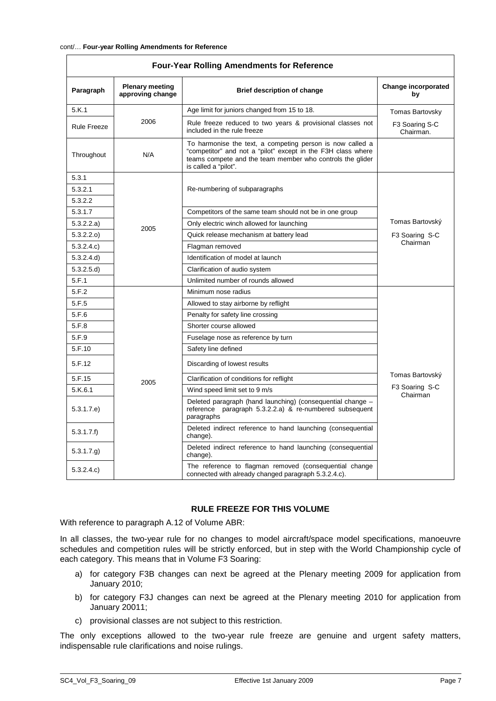| <b>Four-Year Rolling Amendments for Reference</b> |                                                                                  |                                                                                                                                                                                                                |                                  |  |  |  |
|---------------------------------------------------|----------------------------------------------------------------------------------|----------------------------------------------------------------------------------------------------------------------------------------------------------------------------------------------------------------|----------------------------------|--|--|--|
| Paragraph                                         | <b>Plenary meeting</b><br><b>Brief description of change</b><br>approving change |                                                                                                                                                                                                                | <b>Change incorporated</b><br>bv |  |  |  |
| 5.K.1                                             |                                                                                  | Age limit for juniors changed from 15 to 18.                                                                                                                                                                   | Tomas Bartovsky                  |  |  |  |
| <b>Rule Freeze</b>                                | 2006                                                                             | Rule freeze reduced to two years & provisional classes not<br>included in the rule freeze                                                                                                                      | F3 Soaring S-C<br>Chairman.      |  |  |  |
| Throughout                                        | N/A                                                                              | To harmonise the text, a competing person is now called a<br>"competitor" and not a "pilot" except in the F3H class where<br>teams compete and the team member who controls the glider<br>is called a "pilot". |                                  |  |  |  |
| 5.3.1                                             |                                                                                  |                                                                                                                                                                                                                |                                  |  |  |  |
| 5.3.2.1                                           |                                                                                  | Re-numbering of subparagraphs                                                                                                                                                                                  |                                  |  |  |  |
| 5.3.2.2                                           |                                                                                  |                                                                                                                                                                                                                |                                  |  |  |  |
| 5.3.1.7                                           |                                                                                  | Competitors of the same team should not be in one group                                                                                                                                                        |                                  |  |  |  |
| 5.3.2.2.a)                                        | 2005                                                                             | Only electric winch allowed for launching                                                                                                                                                                      | Tomas Bartovský                  |  |  |  |
| 5.3.2.2.0                                         |                                                                                  | Quick release mechanism at battery lead                                                                                                                                                                        | F3 Soaring S-C                   |  |  |  |
| 5.3.2.4.c)                                        |                                                                                  | Flagman removed                                                                                                                                                                                                | Chairman                         |  |  |  |
| 5.3.2.4.d)                                        |                                                                                  | Identification of model at launch                                                                                                                                                                              |                                  |  |  |  |
| 5.3.2.5.d                                         |                                                                                  | Clarification of audio system                                                                                                                                                                                  |                                  |  |  |  |
| 5.F.1                                             |                                                                                  | Unlimited number of rounds allowed                                                                                                                                                                             |                                  |  |  |  |
| 5.F.2                                             |                                                                                  | Minimum nose radius                                                                                                                                                                                            |                                  |  |  |  |
| 5.F.5                                             |                                                                                  | Allowed to stay airborne by reflight                                                                                                                                                                           |                                  |  |  |  |
| 5.F.6                                             |                                                                                  | Penalty for safety line crossing                                                                                                                                                                               |                                  |  |  |  |
| 5.F.8                                             |                                                                                  | Shorter course allowed                                                                                                                                                                                         |                                  |  |  |  |
| 5.F.9                                             |                                                                                  | Fuselage nose as reference by turn                                                                                                                                                                             |                                  |  |  |  |
| 5.F.10                                            |                                                                                  | Safety line defined                                                                                                                                                                                            |                                  |  |  |  |
| 5.F.12                                            |                                                                                  | Discarding of lowest results                                                                                                                                                                                   |                                  |  |  |  |
| 5.F.15                                            | 2005                                                                             | Clarification of conditions for reflight                                                                                                                                                                       | Tomas Bartovský                  |  |  |  |
| 5. K.6.1                                          |                                                                                  | Wind speed limit set to 9 m/s                                                                                                                                                                                  | F3 Soaring S-C<br>Chairman       |  |  |  |
| 5.3.1.7.e                                         |                                                                                  | Deleted paragraph (hand launching) (consequential change -<br>reference paragraph 5.3.2.2.a) & re-numbered subsequent<br>paragraphs                                                                            |                                  |  |  |  |
| 5.3.1.7.f                                         |                                                                                  | Deleted indirect reference to hand launching (consequential<br>change).                                                                                                                                        |                                  |  |  |  |
| 5.3.1.7.9                                         |                                                                                  | Deleted indirect reference to hand launching (consequential<br>change).                                                                                                                                        |                                  |  |  |  |
| 5.3.2.4.c)                                        |                                                                                  | The reference to flagman removed (consequential change<br>connected with already changed paragraph 5.3.2.4.c).                                                                                                 |                                  |  |  |  |

#### **RULE FREEZE FOR THIS VOLUME**

With reference to paragraph A.12 of Volume ABR:

In all classes, the two-year rule for no changes to model aircraft/space model specifications, manoeuvre schedules and competition rules will be strictly enforced, but in step with the World Championship cycle of each category. This means that in Volume F3 Soaring:

- a) for category F3B changes can next be agreed at the Plenary meeting 2009 for application from January 2010;
- b) for category F3J changes can next be agreed at the Plenary meeting 2010 for application from January 20011;
- c) provisional classes are not subject to this restriction.

The only exceptions allowed to the two-year rule freeze are genuine and urgent safety matters, indispensable rule clarifications and noise rulings.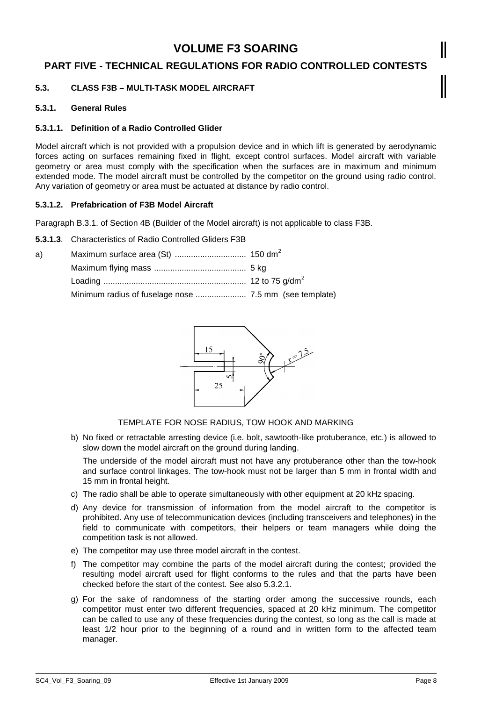# **VOLUME F3 SOARING**

# **PART FIVE - TECHNICAL REGULATIONS FOR RADIO CONTROLLED CONTESTS**

#### **5.3. CLASS F3B – MULTI-TASK MODEL AIRCRAFT**

#### **5.3.1. General Rules**

#### **5.3.1.1. Definition of a Radio Controlled Glider**

Model aircraft which is not provided with a propulsion device and in which lift is generated by aerodynamic forces acting on surfaces remaining fixed in flight, except control surfaces. Model aircraft with variable geometry or area must comply with the specification when the surfaces are in maximum and minimum extended mode. The model aircraft must be controlled by the competitor on the ground using radio control. Any variation of geometry or area must be actuated at distance by radio control.

#### **5.3.1.2. Prefabrication of F3B Model Aircraft**

Paragraph B.3.1. of Section 4B (Builder of the Model aircraft) is not applicable to class F3B.

**5.3.1.3**. Characteristics of Radio Controlled Gliders F3B

| a) a |  |
|------|--|
|      |  |
|      |  |
|      |  |



#### TEMPLATE FOR NOSE RADIUS, TOW HOOK AND MARKING

b) No fixed or retractable arresting device (i.e. bolt, sawtooth-like protuberance, etc.) is allowed to slow down the model aircraft on the ground during landing.

 The underside of the model aircraft must not have any protuberance other than the tow-hook and surface control linkages. The tow-hook must not be larger than 5 mm in frontal width and 15 mm in frontal height.

- c) The radio shall be able to operate simultaneously with other equipment at 20 kHz spacing.
- d) Any device for transmission of information from the model aircraft to the competitor is prohibited. Any use of telecommunication devices (including transceivers and telephones) in the field to communicate with competitors, their helpers or team managers while doing the competition task is not allowed.
- e) The competitor may use three model aircraft in the contest.
- f) The competitor may combine the parts of the model aircraft during the contest; provided the resulting model aircraft used for flight conforms to the rules and that the parts have been checked before the start of the contest. See also 5.3.2.1.
- g) For the sake of randomness of the starting order among the successive rounds, each competitor must enter two different frequencies, spaced at 20 kHz minimum. The competitor can be called to use any of these frequencies during the contest, so long as the call is made at least 1/2 hour prior to the beginning of a round and in written form to the affected team manager.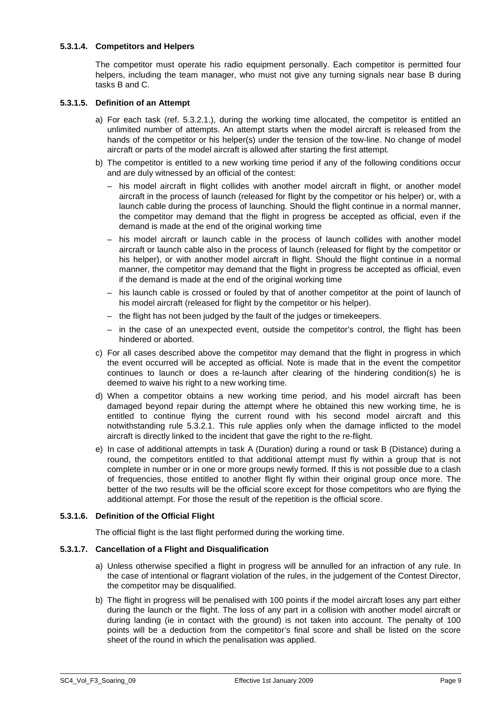#### **5.3.1.4. Competitors and Helpers**

The competitor must operate his radio equipment personally. Each competitor is permitted four helpers, including the team manager, who must not give any turning signals near base B during tasks B and C.

#### **5.3.1.5. Definition of an Attempt**

- a) For each task (ref. 5.3.2.1.), during the working time allocated, the competitor is entitled an unlimited number of attempts. An attempt starts when the model aircraft is released from the hands of the competitor or his helper(s) under the tension of the tow-line. No change of model aircraft or parts of the model aircraft is allowed after starting the first attempt.
- b) The competitor is entitled to a new working time period if any of the following conditions occur and are duly witnessed by an official of the contest:
	- his model aircraft in flight collides with another model aircraft in flight, or another model aircraft in the process of launch (released for flight by the competitor or his helper) or, with a launch cable during the process of launching. Should the flight continue in a normal manner, the competitor may demand that the flight in progress be accepted as official, even if the demand is made at the end of the original working time
	- his model aircraft or launch cable in the process of launch collides with another model aircraft or launch cable also in the process of launch (released for flight by the competitor or his helper), or with another model aircraft in flight. Should the flight continue in a normal manner, the competitor may demand that the flight in progress be accepted as official, even if the demand is made at the end of the original working time
	- his launch cable is crossed or fouled by that of another competitor at the point of launch of his model aircraft (released for flight by the competitor or his helper).
	- the flight has not been judged by the fault of the judges or timekeepers.
	- in the case of an unexpected event, outside the competitor's control, the flight has been hindered or aborted.
- c) For all cases described above the competitor may demand that the flight in progress in which the event occurred will be accepted as official. Note is made that in the event the competitor continues to launch or does a re-launch after clearing of the hindering condition(s) he is deemed to waive his right to a new working time.
- d) When a competitor obtains a new working time period, and his model aircraft has been damaged beyond repair during the attempt where he obtained this new working time, he is entitled to continue flying the current round with his second model aircraft and this notwithstanding rule 5.3.2.1. This rule applies only when the damage inflicted to the model aircraft is directly linked to the incident that gave the right to the re-flight.
- e) In case of additional attempts in task A (Duration) during a round or task B (Distance) during a round, the competitors entitled to that additional attempt must fly within a group that is not complete in number or in one or more groups newly formed. If this is not possible due to a clash of frequencies, those entitled to another flight fly within their original group once more. The better of the two results will be the official score except for those competitors who are flying the additional attempt. For those the result of the repetition is the official score.

#### **5.3.1.6. Definition of the Official Flight**

The official flight is the last flight performed during the working time.

#### **5.3.1.7. Cancellation of a Flight and Disqualification**

- a) Unless otherwise specified a flight in progress will be annulled for an infraction of any rule. In the case of intentional or flagrant violation of the rules, in the judgement of the Contest Director, the competitor may be disqualified.
- b) The flight in progress will be penalised with 100 points if the model aircraft loses any part either during the launch or the flight. The loss of any part in a collision with another model aircraft or during landing (ie in contact with the ground) is not taken into account. The penalty of 100 points will be a deduction from the competitor's final score and shall be listed on the score sheet of the round in which the penalisation was applied.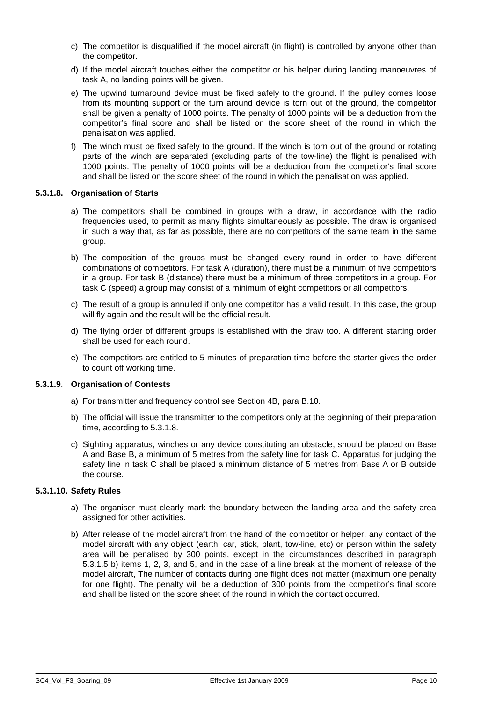- c) The competitor is disqualified if the model aircraft (in flight) is controlled by anyone other than the competitor.
- d) If the model aircraft touches either the competitor or his helper during landing manoeuvres of task A, no landing points will be given.
- e) The upwind turnaround device must be fixed safely to the ground. If the pulley comes loose from its mounting support or the turn around device is torn out of the ground, the competitor shall be given a penalty of 1000 points. The penalty of 1000 points will be a deduction from the competitor's final score and shall be listed on the score sheet of the round in which the penalisation was applied.
- f) The winch must be fixed safely to the ground. If the winch is torn out of the ground or rotating parts of the winch are separated (excluding parts of the tow-line) the flight is penalised with 1000 points. The penalty of 1000 points will be a deduction from the competitor's final score and shall be listed on the score sheet of the round in which the penalisation was applied**.**

#### **5.3.1.8. Organisation of Starts**

- a) The competitors shall be combined in groups with a draw, in accordance with the radio frequencies used, to permit as many flights simultaneously as possible. The draw is organised in such a way that, as far as possible, there are no competitors of the same team in the same group.
- b) The composition of the groups must be changed every round in order to have different combinations of competitors. For task A (duration), there must be a minimum of five competitors in a group. For task B (distance) there must be a minimum of three competitors in a group. For task C (speed) a group may consist of a minimum of eight competitors or all competitors.
- c) The result of a group is annulled if only one competitor has a valid result. In this case, the group will fly again and the result will be the official result.
- d) The flying order of different groups is established with the draw too. A different starting order shall be used for each round.
- e) The competitors are entitled to 5 minutes of preparation time before the starter gives the order to count off working time.

#### **5.3.1.9**. **Organisation of Contests**

- a) For transmitter and frequency control see Section 4B, para B.10.
- b) The official will issue the transmitter to the competitors only at the beginning of their preparation time, according to 5.3.1.8.
- c) Sighting apparatus, winches or any device constituting an obstacle, should be placed on Base A and Base B, a minimum of 5 metres from the safety line for task C. Apparatus for judging the safety line in task C shall be placed a minimum distance of 5 metres from Base A or B outside the course.

#### **5.3.1.10. Safety Rules**

- a) The organiser must clearly mark the boundary between the landing area and the safety area assigned for other activities.
- b) After release of the model aircraft from the hand of the competitor or helper, any contact of the model aircraft with any object (earth, car, stick, plant, tow-line, etc) or person within the safety area will be penalised by 300 points, except in the circumstances described in paragraph 5.3.1.5 b) items 1, 2, 3, and 5, and in the case of a line break at the moment of release of the model aircraft, The number of contacts during one flight does not matter (maximum one penalty for one flight). The penalty will be a deduction of 300 points from the competitor's final score and shall be listed on the score sheet of the round in which the contact occurred.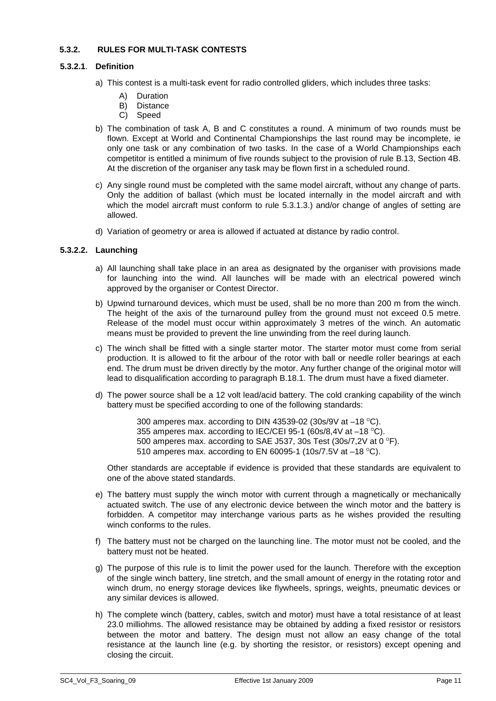#### **5.3.2. RULES FOR MULTI-TASK CONTESTS**

#### **5.3.2.1**. **Definition**

- a) This contest is a multi-task event for radio controlled gliders, which includes three tasks:
	- A) Duration
	- B) Distance
	- C) Speed
- b) The combination of task A, B and C constitutes a round. A minimum of two rounds must be flown. Except at World and Continental Championships the last round may be incomplete, ie only one task or any combination of two tasks. In the case of a World Championships each competitor is entitled a minimum of five rounds subject to the provision of rule B.13, Section 4B. At the discretion of the organiser any task may be flown first in a scheduled round.
- c) Any single round must be completed with the same model aircraft, without any change of parts. Only the addition of ballast (which must be located internally in the model aircraft and with which the model aircraft must conform to rule 5.3.1.3.) and/or change of angles of setting are allowed.
- d) Variation of geometry or area is allowed if actuated at distance by radio control.

#### **5.3.2.2. Launching**

- a) All launching shall take place in an area as designated by the organiser with provisions made for launching into the wind. All launches will be made with an electrical powered winch approved by the organiser or Contest Director.
- b) Upwind turnaround devices, which must be used, shall be no more than 200 m from the winch. The height of the axis of the turnaround pulley from the ground must not exceed 0.5 metre. Release of the model must occur within approximately 3 metres of the winch. An automatic means must be provided to prevent the line unwinding from the reel during launch.
- c) The winch shall be fitted with a single starter motor. The starter motor must come from serial production. It is allowed to fit the arbour of the rotor with ball or needle roller bearings at each end. The drum must be driven directly by the motor. Any further change of the original motor will lead to disqualification according to paragraph B.18.1. The drum must have a fixed diameter.
- d) The power source shall be a 12 volt lead/acid battery. The cold cranking capability of the winch battery must be specified according to one of the following standards:

300 amperes max. according to DIN 43539-02 (30s/9V at  $-18$  °C). 355 amperes max. according to IEC/CEI 95-1 (60s/8,4V at  $-18\text{ °C}$ ). 500 amperes max. according to SAE J537, 30s Test  $(30s/7,2V$  at 0 °F). 510 amperes max. according to EN 60095-1 (10s/7.5V at  $-18$  °C).

Other standards are acceptable if evidence is provided that these standards are equivalent to one of the above stated standards.

- e) The battery must supply the winch motor with current through a magnetically or mechanically actuated switch. The use of any electronic device between the winch motor and the battery is forbidden. A competitor may interchange various parts as he wishes provided the resulting winch conforms to the rules.
- f) The battery must not be charged on the launching line. The motor must not be cooled, and the battery must not be heated.
- g) The purpose of this rule is to limit the power used for the launch. Therefore with the exception of the single winch battery, line stretch, and the small amount of energy in the rotating rotor and winch drum, no energy storage devices like flywheels, springs, weights, pneumatic devices or any similar devices is allowed.
- h) The complete winch (battery, cables, switch and motor) must have a total resistance of at least 23.0 milliohms. The allowed resistance may be obtained by adding a fixed resistor or resistors between the motor and battery. The design must not allow an easy change of the total resistance at the launch line (e.g. by shorting the resistor, or resistors) except opening and closing the circuit.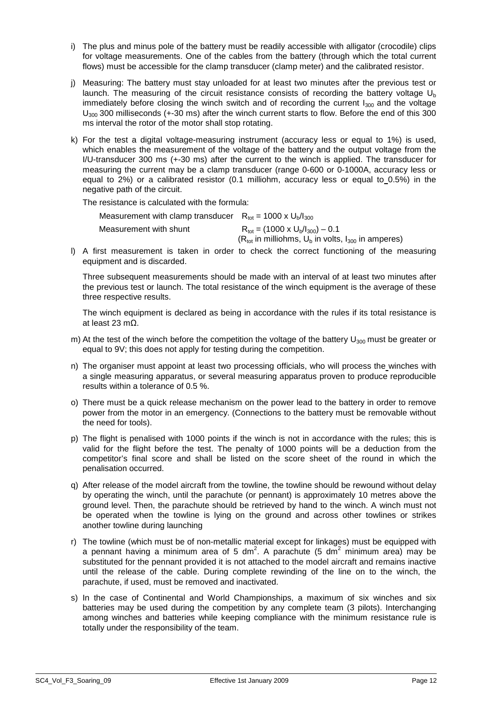- i) The plus and minus pole of the battery must be readily accessible with alligator (crocodile) clips for voltage measurements. One of the cables from the battery (through which the total current flows) must be accessible for the clamp transducer (clamp meter) and the calibrated resistor.
- j) Measuring: The battery must stay unloaded for at least two minutes after the previous test or launch. The measuring of the circuit resistance consists of recording the battery voltage  $U<sub>b</sub>$ immediately before closing the winch switch and of recording the current  $I_{300}$  and the voltage  $U_{300}$  300 milliseconds (+-30 ms) after the winch current starts to flow. Before the end of this 300 ms interval the rotor of the motor shall stop rotating.
- k) For the test a digital voltage-measuring instrument (accuracy less or equal to 1%) is used, which enables the measurement of the voltage of the battery and the output voltage from the I/U-transducer 300 ms (+-30 ms) after the current to the winch is applied. The transducer for measuring the current may be a clamp transducer (range 0-600 or 0-1000A, accuracy less or equal to 2%) or a calibrated resistor (0.1 milliohm, accuracy less or equal to 0.5%) in the negative path of the circuit.

The resistance is calculated with the formula:

Measurement with clamp transducer  $R_{tot} = 1000 \times U_b/I_{300}$ Measurement with shunt  $R_{\text{tot}} = (1000 \times U_b/I_{300}) - 0.1$  $(R<sub>tot</sub>$  in milliohms,  $U<sub>b</sub>$  in volts,  $I<sub>300</sub>$  in amperes)

l) A first measurement is taken in order to check the correct functioning of the measuring equipment and is discarded.

Three subsequent measurements should be made with an interval of at least two minutes after the previous test or launch. The total resistance of the winch equipment is the average of these three respective results.

The winch equipment is declared as being in accordance with the rules if its total resistance is at least 23 mΩ.

- m) At the test of the winch before the competition the voltage of the battery  $U_{300}$  must be greater or equal to 9V; this does not apply for testing during the competition.
- n) The organiser must appoint at least two processing officials, who will process the winches with a single measuring apparatus, or several measuring apparatus proven to produce reproducible results within a tolerance of 0.5 %.
- o) There must be a quick release mechanism on the power lead to the battery in order to remove power from the motor in an emergency. (Connections to the battery must be removable without the need for tools).
- p) The flight is penalised with 1000 points if the winch is not in accordance with the rules; this is valid for the flight before the test. The penalty of 1000 points will be a deduction from the competitor's final score and shall be listed on the score sheet of the round in which the penalisation occurred.
- q) After release of the model aircraft from the towline, the towline should be rewound without delay by operating the winch, until the parachute (or pennant) is approximately 10 metres above the ground level. Then, the parachute should be retrieved by hand to the winch. A winch must not be operated when the towline is lying on the ground and across other towlines or strikes another towline during launching
- r) The towline (which must be of non-metallic material except for linkages) must be equipped with a pennant having a minimum area of 5 dm<sup>2</sup>. A parachute (5 dm<sup>2</sup> minimum area) may be substituted for the pennant provided it is not attached to the model aircraft and remains inactive until the release of the cable. During complete rewinding of the line on to the winch, the parachute, if used, must be removed and inactivated.
- s) In the case of Continental and World Championships, a maximum of six winches and six batteries may be used during the competition by any complete team (3 pilots). Interchanging among winches and batteries while keeping compliance with the minimum resistance rule is totally under the responsibility of the team.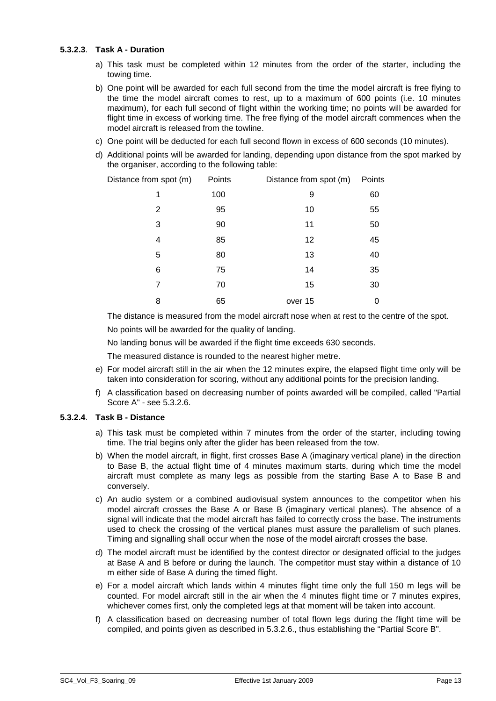#### **5.3.2.3**. **Task A - Duration**

- a) This task must be completed within 12 minutes from the order of the starter, including the towing time.
- b) One point will be awarded for each full second from the time the model aircraft is free flying to the time the model aircraft comes to rest, up to a maximum of 600 points (i.e. 10 minutes maximum), for each full second of flight within the working time; no points will be awarded for flight time in excess of working time. The free flying of the model aircraft commences when the model aircraft is released from the towline.
- c) One point will be deducted for each full second flown in excess of 600 seconds (10 minutes).
- d) Additional points will be awarded for landing, depending upon distance from the spot marked by the organiser, according to the following table:

| Distance from spot (m) | Points | Distance from spot (m) | Points |
|------------------------|--------|------------------------|--------|
| 1                      | 100    | 9                      | 60     |
| 2                      | 95     | 10                     | 55     |
| 3                      | 90     | 11                     | 50     |
| 4                      | 85     | 12                     | 45     |
| 5                      | 80     | 13                     | 40     |
| 6                      | 75     | 14                     | 35     |
| 7                      | 70     | 15                     | 30     |
| 8                      | 65     | over 15                | 0      |

The distance is measured from the model aircraft nose when at rest to the centre of the spot.

No points will be awarded for the quality of landing.

No landing bonus will be awarded if the flight time exceeds 630 seconds.

The measured distance is rounded to the nearest higher metre.

- e) For model aircraft still in the air when the 12 minutes expire, the elapsed flight time only will be taken into consideration for scoring, without any additional points for the precision landing.
- f) A classification based on decreasing number of points awarded will be compiled, called "Partial Score A" - see 5.3.2.6.

#### **5.3.2.4**. **Task B - Distance**

- a) This task must be completed within 7 minutes from the order of the starter, including towing time. The trial begins only after the glider has been released from the tow.
- b) When the model aircraft, in flight, first crosses Base A (imaginary vertical plane) in the direction to Base B, the actual flight time of 4 minutes maximum starts, during which time the model aircraft must complete as many legs as possible from the starting Base A to Base B and conversely.
- c) An audio system or a combined audiovisual system announces to the competitor when his model aircraft crosses the Base A or Base B (imaginary vertical planes). The absence of a signal will indicate that the model aircraft has failed to correctly cross the base. The instruments used to check the crossing of the vertical planes must assure the parallelism of such planes. Timing and signalling shall occur when the nose of the model aircraft crosses the base.
- d) The model aircraft must be identified by the contest director or designated official to the judges at Base A and B before or during the launch. The competitor must stay within a distance of 10 m either side of Base A during the timed flight.
- e) For a model aircraft which lands within 4 minutes flight time only the full 150 m legs will be counted. For model aircraft still in the air when the 4 minutes flight time or 7 minutes expires, whichever comes first, only the completed legs at that moment will be taken into account.
- f) A classification based on decreasing number of total flown legs during the flight time will be compiled, and points given as described in 5.3.2.6., thus establishing the "Partial Score B".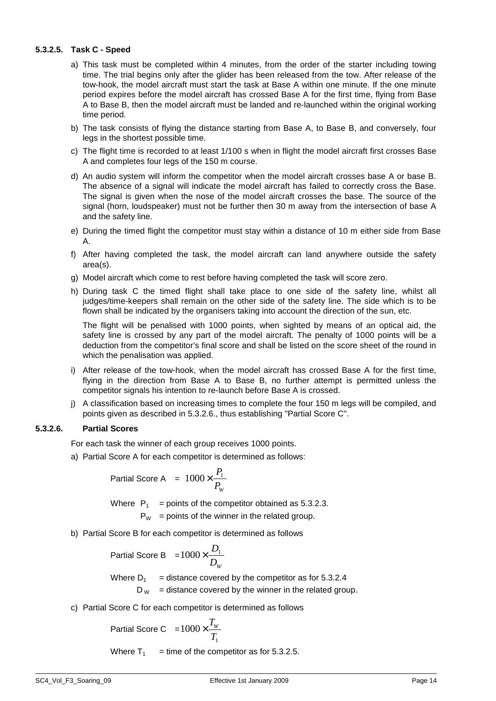#### **5.3.2.5. Task C - Speed**

- a) This task must be completed within 4 minutes, from the order of the starter including towing time. The trial begins only after the glider has been released from the tow. After release of the tow-hook, the model aircraft must start the task at Base A within one minute. If the one minute period expires before the model aircraft has crossed Base A for the first time, flying from Base A to Base B, then the model aircraft must be landed and re-launched within the original working time period.
- b) The task consists of flying the distance starting from Base A, to Base B, and conversely, four legs in the shortest possible time.
- c) The flight time is recorded to at least 1/100 s when in flight the model aircraft first crosses Base A and completes four legs of the 150 m course.
- d) An audio system will inform the competitor when the model aircraft crosses base A or base B. The absence of a signal will indicate the model aircraft has failed to correctly cross the Base. The signal is given when the nose of the model aircraft crosses the base. The source of the signal (horn, loudspeaker) must not be further then 30 m away from the intersection of base A and the safety line.
- e) During the timed flight the competitor must stay within a distance of 10 m either side from Base A.
- f) After having completed the task, the model aircraft can land anywhere outside the safety area(s).
- g) Model aircraft which come to rest before having completed the task will score zero.
- h) During task C the timed flight shall take place to one side of the safety line, whilst all judges/time-keepers shall remain on the other side of the safety line. The side which is to be flown shall be indicated by the organisers taking into account the direction of the sun, etc.

The flight will be penalised with 1000 points, when sighted by means of an optical aid, the safety line is crossed by any part of the model aircraft. The penalty of 1000 points will be a deduction from the competitor's final score and shall be listed on the score sheet of the round in which the penalisation was applied.

- i) After release of the tow-hook, when the model aircraft has crossed Base A for the first time, flying in the direction from Base A to Base B, no further attempt is permitted unless the competitor signals his intention to re-launch before Base A is crossed.
- j) A classification based on increasing times to complete the four 150 m legs will be compiled, and points given as described in 5.3.2.6., thus establishing "Partial Score C".

#### **5.3.2.6. Partial Scores**

For each task the winner of each group receives 1000 points.

a) Partial Score A for each competitor is determined as follows:

Partial Score A = 
$$
1000 \times \frac{P_1}{P_W}
$$

Where  $P_1$  = points of the competitor obtained as 5.3.2.3.

 $P_W$  = points of the winner in the related group.

b) Partial Score B for each competitor is determined as follows

Partial Score B = 
$$
1000 \times \frac{D_1}{D_w}
$$

Where  $D_1$  = distance covered by the competitor as for 5.3.2.4

 $D_w$  = distance covered by the winner in the related group.

c) Partial Score C for each competitor is determined as follows

Partial Score C = 
$$
1000 \times \frac{T_w}{T_1}
$$

Where  $T_1$  = time of the competitor as for 5.3.2.5.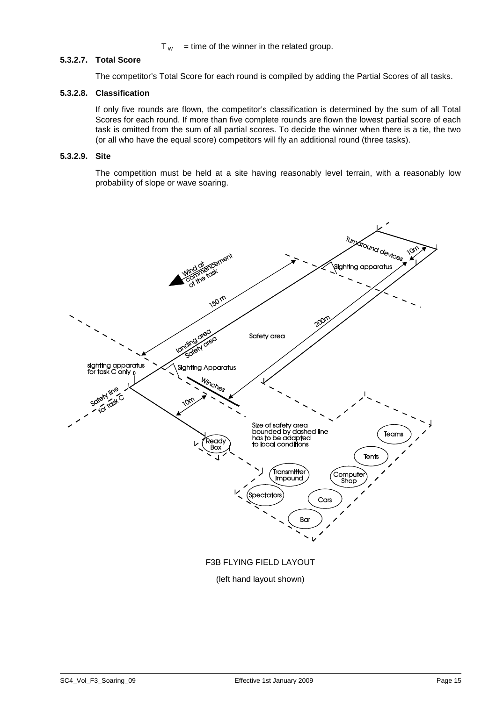$T_w$  = time of the winner in the related group.

### **5.3.2.7. Total Score**

The competitor's Total Score for each round is compiled by adding the Partial Scores of all tasks.

## **5.3.2.8. Classification**

If only five rounds are flown, the competitor's classification is determined by the sum of all Total Scores for each round. If more than five complete rounds are flown the lowest partial score of each task is omitted from the sum of all partial scores. To decide the winner when there is a tie, the two (or all who have the equal score) competitors will fly an additional round (three tasks).

#### **5.3.2.9. Site**

The competition must be held at a site having reasonably level terrain, with a reasonably low probability of slope or wave soaring.



(left hand layout shown)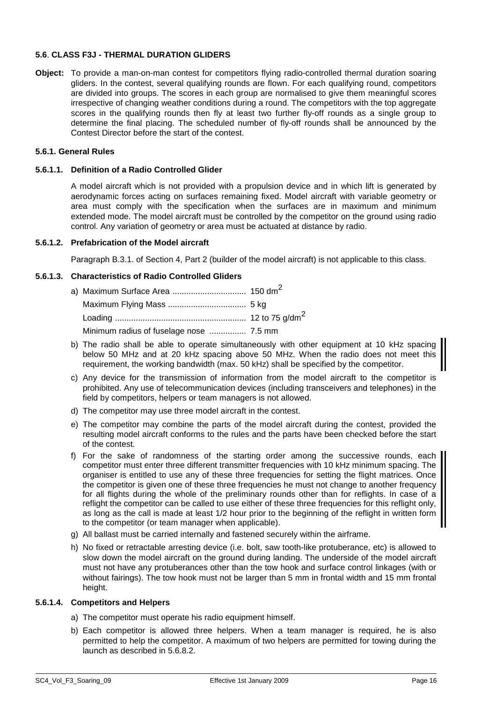#### **5.6**. **CLASS F3J - THERMAL DURATION GLIDERS**

**Object:** To provide a man-on-man contest for competitors flying radio-controlled thermal duration soaring gliders. In the contest, several qualifying rounds are flown. For each qualifying round, competitors are divided into groups. The scores in each group are normalised to give them meaningful scores irrespective of changing weather conditions during a round. The competitors with the top aggregate scores in the qualifying rounds then fly at least two further fly-off rounds as a single group to determine the final placing. The scheduled number of fly-off rounds shall be announced by the Contest Director before the start of the contest.

#### **5.6.1. General Rules**

#### **5.6.1.1. Definition of a Radio Controlled Glider**

A model aircraft which is not provided with a propulsion device and in which lift is generated by aerodynamic forces acting on surfaces remaining fixed. Model aircraft with variable geometry or area must comply with the specification when the surfaces are in maximum and minimum extended mode. The model aircraft must be controlled by the competitor on the ground using radio control. Any variation of geometry or area must be actuated at distance by radio.

#### **5.6.1.2. Prefabrication of the Model aircraft**

Paragraph B.3.1. of Section 4, Part 2 (builder of the model aircraft) is not applicable to this class.

#### **5.6.1.3. Characteristics of Radio Controlled Gliders**

| a) Maximum Surface Area  150 dm <sup>2</sup> |  |
|----------------------------------------------|--|
|                                              |  |
|                                              |  |
| Minimum radius of fuselage nose  7.5 mm      |  |

- b) The radio shall be able to operate simultaneously with other equipment at 10 kHz spacing below 50 MHz and at 20 kHz spacing above 50 MHz. When the radio does not meet this requirement, the working bandwidth (max. 50 kHz) shall be specified by the competitor.
- c) Any device for the transmission of information from the model aircraft to the competitor is prohibited. Any use of telecommunication devices (including transceivers and telephones) in the field by competitors, helpers or team managers is not allowed.
- d) The competitor may use three model aircraft in the contest.
- e) The competitor may combine the parts of the model aircraft during the contest, provided the resulting model aircraft conforms to the rules and the parts have been checked before the start of the contest.
- f) For the sake of randomness of the starting order among the successive rounds, each competitor must enter three different transmitter frequencies with 10 kHz minimum spacing. The organiser is entitled to use any of these three frequencies for setting the flight matrices. Once the competitor is given one of these three frequencies he must not change to another frequency for all flights during the whole of the preliminary rounds other than for reflights. In case of a reflight the competitor can be called to use either of these three frequencies for this reflight only, as long as the call is made at least 1/2 hour prior to the beginning of the reflight in written form to the competitor (or team manager when applicable).
- g) All ballast must be carried internally and fastened securely within the airframe.
- h) No fixed or retractable arresting device (i.e. bolt, saw tooth-like protuberance, etc) is allowed to slow down the model aircraft on the ground during landing. The underside of the model aircraft must not have any protuberances other than the tow hook and surface control linkages (with or without fairings). The tow hook must not be larger than 5 mm in frontal width and 15 mm frontal height.

#### **5.6.1.4. Competitors and Helpers**

- a) The competitor must operate his radio equipment himself.
- b) Each competitor is allowed three helpers. When a team manager is required, he is also permitted to help the competitor. A maximum of two helpers are permitted for towing during the launch as described in 5.6.8.2.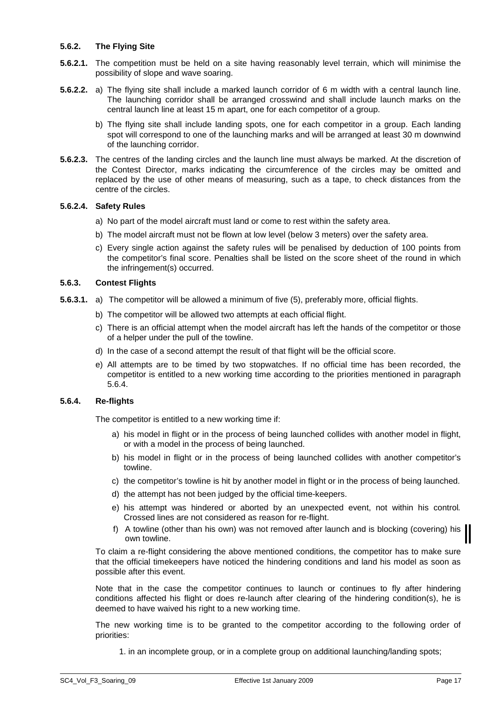### **5.6.2. The Flying Site**

- **5.6.2.1.** The competition must be held on a site having reasonably level terrain, which will minimise the possibility of slope and wave soaring.
- **5.6.2.2.** a) The flying site shall include a marked launch corridor of 6 m width with a central launch line. The launching corridor shall be arranged crosswind and shall include launch marks on the central launch line at least 15 m apart, one for each competitor of a group.
	- b) The flying site shall include landing spots, one for each competitor in a group. Each landing spot will correspond to one of the launching marks and will be arranged at least 30 m downwind of the launching corridor.
- **5.6.2.3.** The centres of the landing circles and the launch line must always be marked. At the discretion of the Contest Director, marks indicating the circumference of the circles may be omitted and replaced by the use of other means of measuring, such as a tape, to check distances from the centre of the circles.

#### **5.6.2.4. Safety Rules**

- a) No part of the model aircraft must land or come to rest within the safety area.
- b) The model aircraft must not be flown at low level (below 3 meters) over the safety area.
- c) Every single action against the safety rules will be penalised by deduction of 100 points from the competitor's final score. Penalties shall be listed on the score sheet of the round in which the infringement(s) occurred.

#### **5.6.3. Contest Flights**

- **5.6.3.1.** a) The competitor will be allowed a minimum of five (5), preferably more, official flights.
	- b) The competitor will be allowed two attempts at each official flight.
	- c) There is an official attempt when the model aircraft has left the hands of the competitor or those of a helper under the pull of the towline.
	- d) In the case of a second attempt the result of that flight will be the official score.
	- e) All attempts are to be timed by two stopwatches. If no official time has been recorded, the competitor is entitled to a new working time according to the priorities mentioned in paragraph 5.6.4.

# **5.6.4. Re-flights**

The competitor is entitled to a new working time if:

- a) his model in flight or in the process of being launched collides with another model in flight, or with a model in the process of being launched.
- b) his model in flight or in the process of being launched collides with another competitor's towline.
- c) the competitor's towline is hit by another model in flight or in the process of being launched.
- d) the attempt has not been judged by the official time-keepers.
- e) his attempt was hindered or aborted by an unexpected event, not within his control. Crossed lines are not considered as reason for re-flight.
- f) A towline (other than his own) was not removed after launch and is blocking (covering) his || own towline.

To claim a re-flight considering the above mentioned conditions, the competitor has to make sure that the official timekeepers have noticed the hindering conditions and land his model as soon as possible after this event.

Note that in the case the competitor continues to launch or continues to fly after hindering conditions affected his flight or does re-launch after clearing of the hindering condition(s), he is deemed to have waived his right to a new working time.

The new working time is to be granted to the competitor according to the following order of priorities:

1. in an incomplete group, or in a complete group on additional launching/landing spots;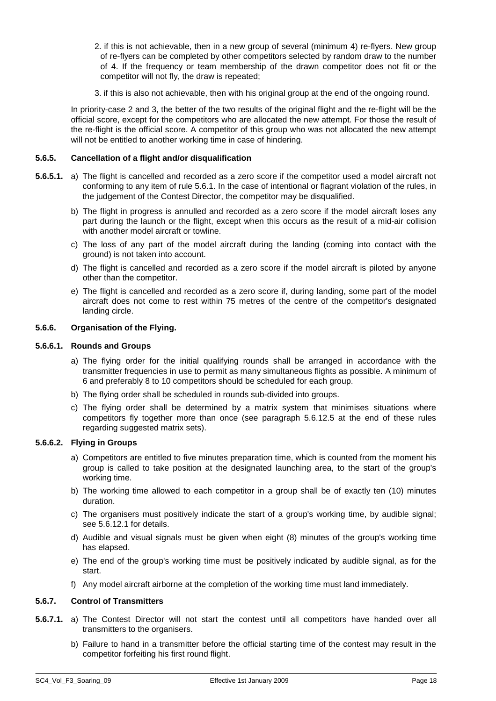- 2. if this is not achievable, then in a new group of several (minimum 4) re-flyers. New group of re-flyers can be completed by other competitors selected by random draw to the number of 4. If the frequency or team membership of the drawn competitor does not fit or the competitor will not fly, the draw is repeated;
- 3. if this is also not achievable, then with his original group at the end of the ongoing round.

In priority-case 2 and 3, the better of the two results of the original flight and the re-flight will be the official score, except for the competitors who are allocated the new attempt. For those the result of the re-flight is the official score. A competitor of this group who was not allocated the new attempt will not be entitled to another working time in case of hindering.

#### **5.6.5. Cancellation of a flight and/or disqualification**

- **5.6.5.1.** a) The flight is cancelled and recorded as a zero score if the competitor used a model aircraft not conforming to any item of rule 5.6.1. In the case of intentional or flagrant violation of the rules, in the judgement of the Contest Director, the competitor may be disqualified.
	- b) The flight in progress is annulled and recorded as a zero score if the model aircraft loses any part during the launch or the flight, except when this occurs as the result of a mid-air collision with another model aircraft or towline.
	- c) The loss of any part of the model aircraft during the landing (coming into contact with the ground) is not taken into account.
	- d) The flight is cancelled and recorded as a zero score if the model aircraft is piloted by anyone other than the competitor.
	- e) The flight is cancelled and recorded as a zero score if, during landing, some part of the model aircraft does not come to rest within 75 metres of the centre of the competitor's designated landing circle.

#### **5.6.6. Organisation of the Flying.**

#### **5.6.6.1. Rounds and Groups**

- a) The flying order for the initial qualifying rounds shall be arranged in accordance with the transmitter frequencies in use to permit as many simultaneous flights as possible. A minimum of 6 and preferably 8 to 10 competitors should be scheduled for each group.
- b) The flying order shall be scheduled in rounds sub-divided into groups.
- c) The flying order shall be determined by a matrix system that minimises situations where competitors fly together more than once (see paragraph 5.6.12.5 at the end of these rules regarding suggested matrix sets).

#### **5.6.6.2. Flying in Groups**

- a) Competitors are entitled to five minutes preparation time, which is counted from the moment his group is called to take position at the designated launching area, to the start of the group's working time.
- b) The working time allowed to each competitor in a group shall be of exactly ten (10) minutes duration.
- c) The organisers must positively indicate the start of a group's working time, by audible signal; see 5.6.12.1 for details.
- d) Audible and visual signals must be given when eight (8) minutes of the group's working time has elapsed.
- e) The end of the group's working time must be positively indicated by audible signal, as for the start.
- f) Any model aircraft airborne at the completion of the working time must land immediately.

#### **5.6.7. Control of Transmitters**

- **5.6.7.1.** a) The Contest Director will not start the contest until all competitors have handed over all transmitters to the organisers.
	- b) Failure to hand in a transmitter before the official starting time of the contest may result in the competitor forfeiting his first round flight.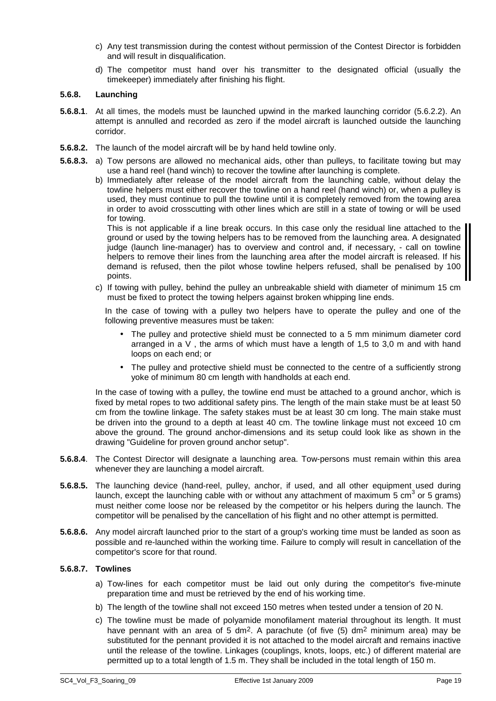- c) Any test transmission during the contest without permission of the Contest Director is forbidden and will result in disqualification.
- d) The competitor must hand over his transmitter to the designated official (usually the timekeeper) immediately after finishing his flight.

#### **5.6.8. Launching**

- **5.6.8.1**. At all times, the models must be launched upwind in the marked launching corridor (5.6.2.2). An attempt is annulled and recorded as zero if the model aircraft is launched outside the launching corridor.
- **5.6.8.2.** The launch of the model aircraft will be by hand held towline only.
- **5.6.8.3.** a) Tow persons are allowed no mechanical aids, other than pulleys, to facilitate towing but may use a hand reel (hand winch) to recover the towline after launching is complete.
	- b) Immediately after release of the model aircraft from the launching cable, without delay the towline helpers must either recover the towline on a hand reel (hand winch) or, when a pulley is used, they must continue to pull the towline until it is completely removed from the towing area in order to avoid crosscutting with other lines which are still in a state of towing or will be used for towing.

 This is not applicable if a line break occurs. In this case only the residual line attached to the ground or used by the towing helpers has to be removed from the launching area. A designated judge (launch line-manager) has to overview and control and, if necessary, - call on towline helpers to remove their lines from the launching area after the model aircraft is released. If his demand is refused, then the pilot whose towline helpers refused, shall be penalised by 100 points.

c) If towing with pulley, behind the pulley an unbreakable shield with diameter of minimum 15 cm must be fixed to protect the towing helpers against broken whipping line ends.

In the case of towing with a pulley two helpers have to operate the pulley and one of the following preventive measures must be taken:

- The pulley and protective shield must be connected to a 5 mm minimum diameter cord arranged in a  $V$ , the arms of which must have a length of 1,5 to 3,0 m and with hand loops on each end; or
- The pulley and protective shield must be connected to the centre of a sufficiently strong yoke of minimum 80 cm length with handholds at each end.

In the case of towing with a pulley, the towline end must be attached to a ground anchor, which is fixed by metal ropes to two additional safety pins. The length of the main stake must be at least 50 cm from the towline linkage. The safety stakes must be at least 30 cm long. The main stake must be driven into the ground to a depth at least 40 cm. The towline linkage must not exceed 10 cm above the ground. The ground anchor-dimensions and its setup could look like as shown in the drawing "Guideline for proven ground anchor setup".

- **5.6.8.4**. The Contest Director will designate a launching area. Tow-persons must remain within this area whenever they are launching a model aircraft.
- **5.6.8.5.** The launching device (hand-reel, pulley, anchor, if used, and all other equipment used during launch, except the launching cable with or without any attachment of maximum 5 cm<sup>3</sup> or 5 grams) must neither come loose nor be released by the competitor or his helpers during the launch. The competitor will be penalised by the cancellation of his flight and no other attempt is permitted.
- **5.6.8.6.** Any model aircraft launched prior to the start of a group's working time must be landed as soon as possible and re-launched within the working time. Failure to comply will result in cancellation of the competitor's score for that round.

### **5.6.8.7. Towlines**

- a) Tow-lines for each competitor must be laid out only during the competitor's five-minute preparation time and must be retrieved by the end of his working time.
- b) The length of the towline shall not exceed 150 metres when tested under a tension of 20 N.
- c) The towline must be made of polyamide monofilament material throughout its length. It must have pennant with an area of 5 dm<sup>2</sup>. A parachute (of five (5) dm<sup>2</sup> minimum area) may be substituted for the pennant provided it is not attached to the model aircraft and remains inactive until the release of the towline. Linkages (couplings, knots, loops, etc.) of different material are permitted up to a total length of 1.5 m. They shall be included in the total length of 150 m.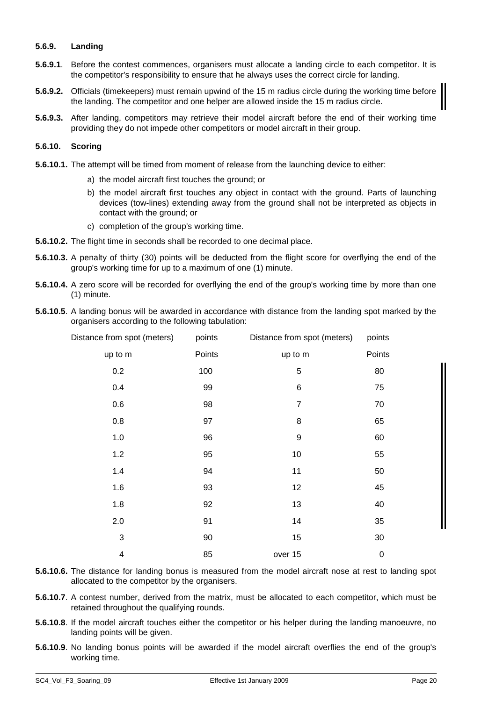#### **5.6.9. Landing**

- **5.6.9.1**. Before the contest commences, organisers must allocate a landing circle to each competitor. It is the competitor's responsibility to ensure that he always uses the correct circle for landing.
- **5.6.9.2.** Officials (timekeepers) must remain upwind of the 15 m radius circle during the working time before the landing. The competitor and one helper are allowed inside the 15 m radius circle.
- **5.6.9.3.** After landing, competitors may retrieve their model aircraft before the end of their working time providing they do not impede other competitors or model aircraft in their group.

#### **5.6.10. Scoring**

- **5.6.10.1.** The attempt will be timed from moment of release from the launching device to either:
	- a) the model aircraft first touches the ground; or
	- b) the model aircraft first touches any object in contact with the ground. Parts of launching devices (tow-lines) extending away from the ground shall not be interpreted as objects in contact with the ground; or
	- c) completion of the group's working time.
- **5.6.10.2.** The flight time in seconds shall be recorded to one decimal place.
- **5.6.10.3.** A penalty of thirty (30) points will be deducted from the flight score for overflying the end of the group's working time for up to a maximum of one (1) minute.
- **5.6.10.4.** A zero score will be recorded for overflying the end of the group's working time by more than one (1) minute.
- **5.6.10.5**. A landing bonus will be awarded in accordance with distance from the landing spot marked by the organisers according to the following tabulation:

| Distance from spot (meters) | points | Distance from spot (meters) | points           |  |
|-----------------------------|--------|-----------------------------|------------------|--|
| up to m                     | Points | up to m                     | Points           |  |
| 0.2                         | 100    | 5                           | 80               |  |
| 0.4                         | 99     | $\,6$                       | 75               |  |
| 0.6                         | 98     | $\overline{7}$              | 70               |  |
| 0.8                         | 97     | 8                           | 65               |  |
| $1.0$                       | 96     | 9                           | 60               |  |
| 1.2                         | 95     | $10$                        | 55               |  |
| 1.4                         | 94     | 11                          | 50               |  |
| 1.6                         | 93     | 12                          | 45               |  |
| 1.8                         | 92     | 13                          | 40               |  |
| 2.0                         | 91     | 14                          | 35               |  |
| 3                           | 90     | 15                          | $30\,$           |  |
| $\overline{\mathbf{4}}$     | 85     | over 15                     | $\boldsymbol{0}$ |  |
|                             |        |                             |                  |  |

- **5.6.10.6.** The distance for landing bonus is measured from the model aircraft nose at rest to landing spot allocated to the competitor by the organisers.
- **5.6.10.7**. A contest number, derived from the matrix, must be allocated to each competitor, which must be retained throughout the qualifying rounds.
- **5.6.10.8**. If the model aircraft touches either the competitor or his helper during the landing manoeuvre, no landing points will be given.
- **5.6.10.9**. No landing bonus points will be awarded if the model aircraft overflies the end of the group's working time.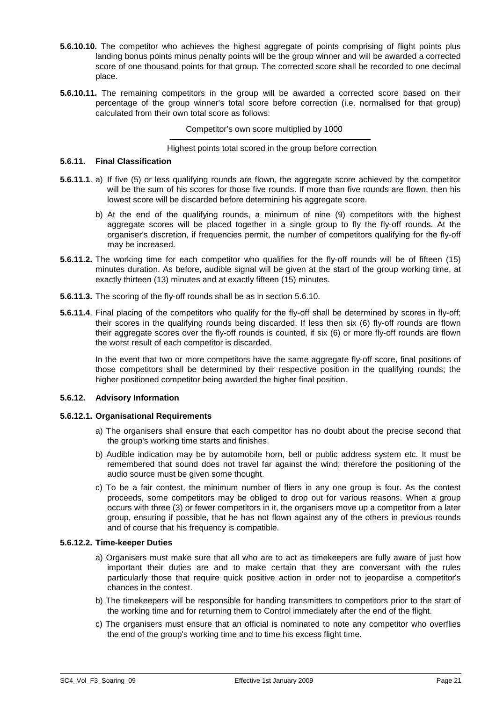- **5.6.10.10.** The competitor who achieves the highest aggregate of points comprising of flight points plus landing bonus points minus penalty points will be the group winner and will be awarded a corrected score of one thousand points for that group. The corrected score shall be recorded to one decimal place.
- **5.6.10.11.** The remaining competitors in the group will be awarded a corrected score based on their percentage of the group winner's total score before correction (i.e. normalised for that group) calculated from their own total score as follows:

Competitor's own score multiplied by 1000

Highest points total scored in the group before correction

#### **5.6.11. Final Classification**

- **5.6.11.1**. a) If five (5) or less qualifying rounds are flown, the aggregate score achieved by the competitor will be the sum of his scores for those five rounds. If more than five rounds are flown, then his lowest score will be discarded before determining his aggregate score.
	- b) At the end of the qualifying rounds, a minimum of nine (9) competitors with the highest aggregate scores will be placed together in a single group to fly the fly-off rounds. At the organiser's discretion, if frequencies permit, the number of competitors qualifying for the fly-off may be increased.
- **5.6.11.2.** The working time for each competitor who qualifies for the fly-off rounds will be of fifteen (15) minutes duration. As before, audible signal will be given at the start of the group working time, at exactly thirteen (13) minutes and at exactly fifteen (15) minutes.
- **5.6.11.3.** The scoring of the fly-off rounds shall be as in section 5.6.10.
- **5.6.11.4**. Final placing of the competitors who qualify for the fly-off shall be determined by scores in fly-off; their scores in the qualifying rounds being discarded. If less then six (6) fly-off rounds are flown their aggregate scores over the fly-off rounds is counted, if six (6) or more fly-off rounds are flown the worst result of each competitor is discarded.

In the event that two or more competitors have the same aggregate fly-off score, final positions of those competitors shall be determined by their respective position in the qualifying rounds; the higher positioned competitor being awarded the higher final position.

#### **5.6.12. Advisory Information**

#### **5.6.12.1. Organisational Requirements**

- a) The organisers shall ensure that each competitor has no doubt about the precise second that the group's working time starts and finishes.
- b) Audible indication may be by automobile horn, bell or public address system etc. It must be remembered that sound does not travel far against the wind; therefore the positioning of the audio source must be given some thought.
- c) To be a fair contest, the minimum number of fliers in any one group is four. As the contest proceeds, some competitors may be obliged to drop out for various reasons. When a group occurs with three (3) or fewer competitors in it, the organisers move up a competitor from a later group, ensuring if possible, that he has not flown against any of the others in previous rounds and of course that his frequency is compatible.

# **5.6.12.2. Time-keeper Duties**

- a) Organisers must make sure that all who are to act as timekeepers are fully aware of just how important their duties are and to make certain that they are conversant with the rules particularly those that require quick positive action in order not to jeopardise a competitor's chances in the contest.
- b) The timekeepers will be responsible for handing transmitters to competitors prior to the start of the working time and for returning them to Control immediately after the end of the flight.
- c) The organisers must ensure that an official is nominated to note any competitor who overflies the end of the group's working time and to time his excess flight time.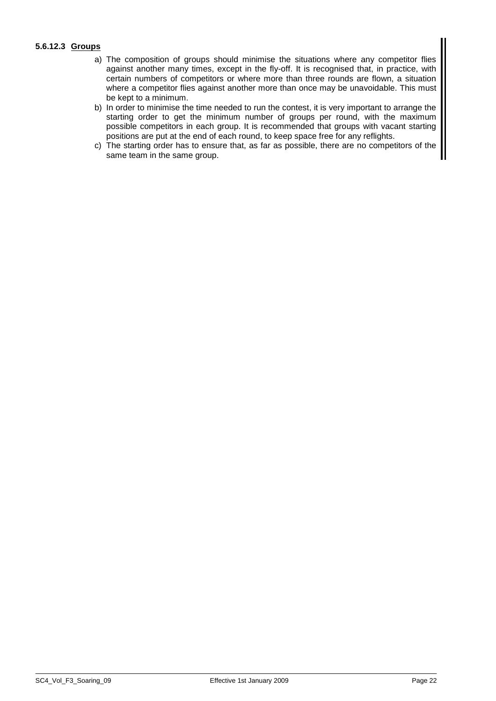#### **5.6.12.3 Groups**

- a) The composition of groups should minimise the situations where any competitor flies against another many times, except in the fly-off. It is recognised that, in practice, with certain numbers of competitors or where more than three rounds are flown, a situation where a competitor flies against another more than once may be unavoidable. This must be kept to a minimum.
- b) In order to minimise the time needed to run the contest, it is very important to arrange the starting order to get the minimum number of groups per round, with the maximum possible competitors in each group. It is recommended that groups with vacant starting positions are put at the end of each round, to keep space free for any reflights.
- c) The starting order has to ensure that, as far as possible, there are no competitors of the same team in the same group.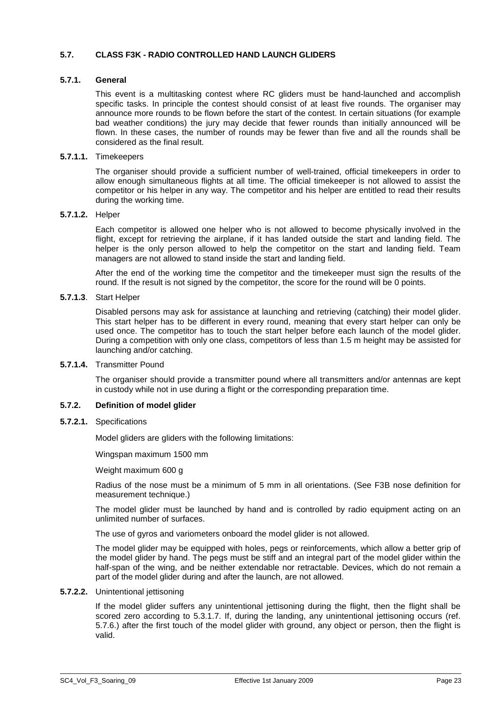#### **5.7. CLASS F3K - RADIO CONTROLLED HAND LAUNCH GLIDERS**

#### **5.7.1. General**

This event is a multitasking contest where RC gliders must be hand-launched and accomplish specific tasks. In principle the contest should consist of at least five rounds. The organiser may announce more rounds to be flown before the start of the contest. In certain situations (for example bad weather conditions) the jury may decide that fewer rounds than initially announced will be flown. In these cases, the number of rounds may be fewer than five and all the rounds shall be considered as the final result.

#### **5.7.1.1.** Timekeepers

The organiser should provide a sufficient number of well-trained, official timekeepers in order to allow enough simultaneous flights at all time. The official timekeeper is not allowed to assist the competitor or his helper in any way. The competitor and his helper are entitled to read their results during the working time.

#### **5.7.1.2.** Helper

Each competitor is allowed one helper who is not allowed to become physically involved in the flight, except for retrieving the airplane, if it has landed outside the start and landing field. The helper is the only person allowed to help the competitor on the start and landing field. Team managers are not allowed to stand inside the start and landing field.

After the end of the working time the competitor and the timekeeper must sign the results of the round. If the result is not signed by the competitor, the score for the round will be 0 points.

#### **5.7.1.3**. Start Helper

Disabled persons may ask for assistance at launching and retrieving (catching) their model glider. This start helper has to be different in every round, meaning that every start helper can only be used once. The competitor has to touch the start helper before each launch of the model glider. During a competition with only one class, competitors of less than 1.5 m height may be assisted for launching and/or catching.

#### **5.7.1.4.** Transmitter Pound

The organiser should provide a transmitter pound where all transmitters and/or antennas are kept in custody while not in use during a flight or the corresponding preparation time.

#### **5.7.2. Definition of model glider**

#### **5.7.2.1.** Specifications

Model gliders are gliders with the following limitations:

Wingspan maximum 1500 mm

Weight maximum 600 g

Radius of the nose must be a minimum of 5 mm in all orientations. (See F3B nose definition for measurement technique.)

The model glider must be launched by hand and is controlled by radio equipment acting on an unlimited number of surfaces.

The use of gyros and variometers onboard the model glider is not allowed.

The model glider may be equipped with holes, pegs or reinforcements, which allow a better grip of the model glider by hand. The pegs must be stiff and an integral part of the model glider within the half-span of the wing, and be neither extendable nor retractable. Devices, which do not remain a part of the model glider during and after the launch, are not allowed.

#### **5.7.2.2.** Unintentional jettisoning

If the model glider suffers any unintentional jettisoning during the flight, then the flight shall be scored zero according to 5.3.1.7. If, during the landing, any unintentional jettisoning occurs (ref. 5.7.6.) after the first touch of the model glider with ground, any object or person, then the flight is valid.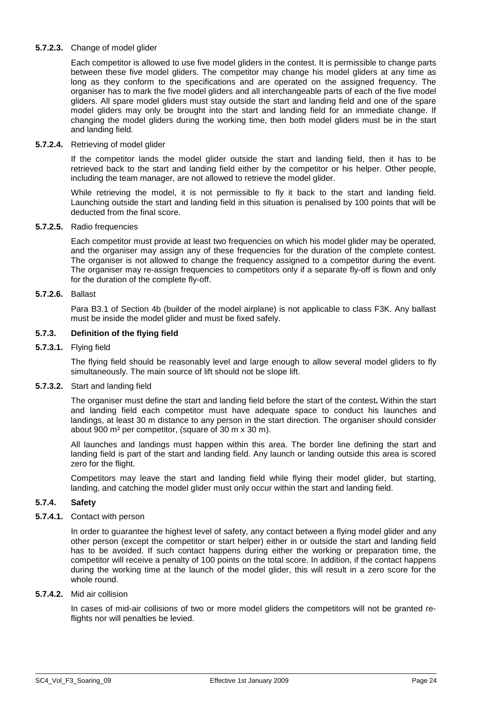#### **5.7.2.3.** Change of model glider

Each competitor is allowed to use five model gliders in the contest. It is permissible to change parts between these five model gliders. The competitor may change his model gliders at any time as long as they conform to the specifications and are operated on the assigned frequency. The organiser has to mark the five model gliders and all interchangeable parts of each of the five model gliders. All spare model gliders must stay outside the start and landing field and one of the spare model gliders may only be brought into the start and landing field for an immediate change. If changing the model gliders during the working time, then both model gliders must be in the start and landing field.

#### **5.7.2.4.** Retrieving of model glider

If the competitor lands the model glider outside the start and landing field, then it has to be retrieved back to the start and landing field either by the competitor or his helper. Other people, including the team manager, are not allowed to retrieve the model glider.

While retrieving the model, it is not permissible to fly it back to the start and landing field. Launching outside the start and landing field in this situation is penalised by 100 points that will be deducted from the final score.

#### **5.7.2.5.** Radio frequencies

Each competitor must provide at least two frequencies on which his model glider may be operated, and the organiser may assign any of these frequencies for the duration of the complete contest. The organiser is not allowed to change the frequency assigned to a competitor during the event. The organiser may re-assign frequencies to competitors only if a separate fly-off is flown and only for the duration of the complete fly-off.

#### **5.7.2.6.** Ballast

Para B3.1 of Section 4b (builder of the model airplane) is not applicable to class F3K. Any ballast must be inside the model glider and must be fixed safely.

#### **5.7.3. Definition of the flying field**

# **5.7.3.1.** Flying field

The flying field should be reasonably level and large enough to allow several model gliders to fly simultaneously. The main source of lift should not be slope lift.

#### **5.7.3.2.** Start and landing field

The organiser must define the start and landing field before the start of the contest**.** Within the start and landing field each competitor must have adequate space to conduct his launches and landings, at least 30 m distance to any person in the start direction. The organiser should consider about 900 m² per competitor, (square of 30 m x 30 m).

All launches and landings must happen within this area. The border line defining the start and landing field is part of the start and landing field. Any launch or landing outside this area is scored zero for the flight.

Competitors may leave the start and landing field while flying their model glider, but starting, landing, and catching the model glider must only occur within the start and landing field.

#### **5.7.4. Safety**

#### **5.7.4.1.** Contact with person

In order to guarantee the highest level of safety, any contact between a flying model glider and any other person (except the competitor or start helper) either in or outside the start and landing field has to be avoided. If such contact happens during either the working or preparation time, the competitor will receive a penalty of 100 points on the total score. In addition, if the contact happens during the working time at the launch of the model glider, this will result in a zero score for the whole round.

#### **5.7.4.2.** Mid air collision

In cases of mid-air collisions of two or more model gliders the competitors will not be granted reflights nor will penalties be levied.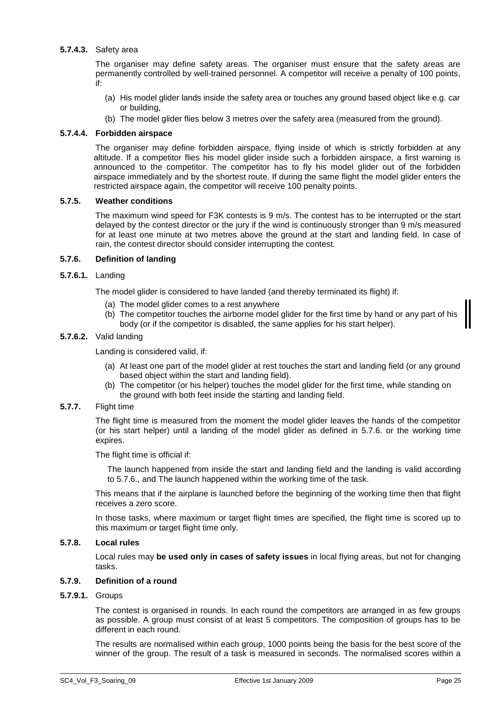#### **5.7.4.3.** Safety area

The organiser may define safety areas. The organiser must ensure that the safety areas are permanently controlled by well-trained personnel. A competitor will receive a penalty of 100 points, if:

- (a) His model glider lands inside the safety area or touches any ground based object like e.g. car or building,
- (b) The model glider flies below 3 metres over the safety area (measured from the ground).

#### **5.7.4.4. Forbidden airspace**

The organiser may define forbidden airspace, flying inside of which is strictly forbidden at any altitude. If a competitor flies his model glider inside such a forbidden airspace, a first warning is announced to the competitor. The competitor has to fly his model glider out of the forbidden airspace immediately and by the shortest route. If during the same flight the model glider enters the restricted airspace again, the competitor will receive 100 penalty points.

#### **5.7.5. Weather conditions**

The maximum wind speed for F3K contests is 9 m/s. The contest has to be interrupted or the start delayed by the contest director or the jury if the wind is continuously stronger than 9 m/s measured for at least one minute at two metres above the ground at the start and landing field. In case of rain, the contest director should consider interrupting the contest.

#### **5.7.6. Definition of landing**

#### **5.7.6.1.** Landing

The model glider is considered to have landed (and thereby terminated its flight) if:

- (a) The model glider comes to a rest anywhere
- (b) The competitor touches the airborne model glider for the first time by hand or any part of his body (or if the competitor is disabled, the same applies for his start helper).

#### **5.7.6.2.** Valid landing

Landing is considered valid, if:

- (a) At least one part of the model glider at rest touches the start and landing field (or any ground based object within the start and landing field).
- (b) The competitor (or his helper) touches the model glider for the first time, while standing on the ground with both feet inside the starting and landing field.

#### **5.7.7.** Flight time

The flight time is measured from the moment the model glider leaves the hands of the competitor (or his start helper) until a landing of the model glider as defined in 5.7.6. or the working time expires.

The flight time is official if:

The launch happened from inside the start and landing field and the landing is valid according to 5.7.6., and The launch happened within the working time of the task.

This means that if the airplane is launched before the beginning of the working time then that flight receives a zero score.

In those tasks, where maximum or target flight times are specified, the flight time is scored up to this maximum or target flight time only.

# **5.7.8. Local rules**

Local rules may **be used only in cases of safety issues** in local flying areas, but not for changing tasks.

#### **5.7.9. Definition of a round**

#### **5.7.9.1.** Groups

The contest is organised in rounds. In each round the competitors are arranged in as few groups as possible. A group must consist of at least 5 competitors. The composition of groups has to be different in each round.

The results are normalised within each group, 1000 points being the basis for the best score of the winner of the group. The result of a task is measured in seconds. The normalised scores within a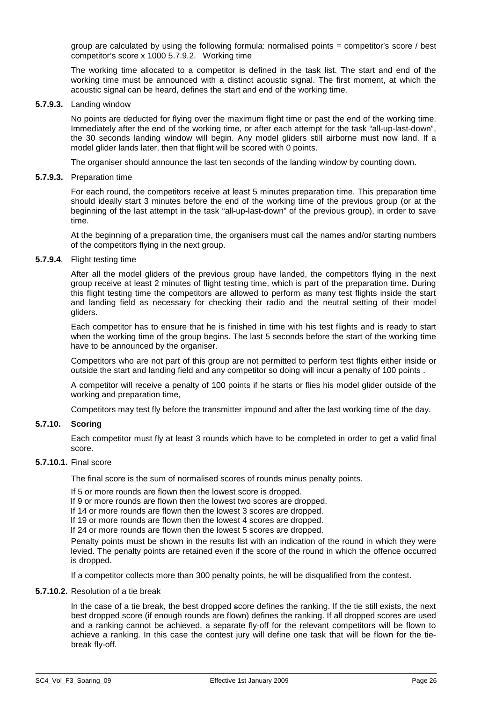group are calculated by using the following formula: normalised points = competitor's score / best competitor's score x 1000 5.7.9.2. Working time

The working time allocated to a competitor is defined in the task list. The start and end of the working time must be announced with a distinct acoustic signal. The first moment, at which the acoustic signal can be heard, defines the start and end of the working time.

#### **5.7.9.3.** Landing window

No points are deducted for flying over the maximum flight time or past the end of the working time. Immediately after the end of the working time, or after each attempt for the task "all-up-last-down", the 30 seconds landing window will begin. Any model gliders still airborne must now land. If a model glider lands later, then that flight will be scored with 0 points.

The organiser should announce the last ten seconds of the landing window by counting down.

#### **5.7.9.3.** Preparation time

For each round, the competitors receive at least 5 minutes preparation time. This preparation time should ideally start 3 minutes before the end of the working time of the previous group (or at the beginning of the last attempt in the task "all-up-last-down" of the previous group), in order to save time.

At the beginning of a preparation time, the organisers must call the names and/or starting numbers of the competitors flying in the next group.

#### **5.7.9.4**. Flight testing time

After all the model gliders of the previous group have landed, the competitors flying in the next group receive at least 2 minutes of flight testing time, which is part of the preparation time. During this flight testing time the competitors are allowed to perform as many test flights inside the start and landing field as necessary for checking their radio and the neutral setting of their model gliders.

Each competitor has to ensure that he is finished in time with his test flights and is ready to start when the working time of the group begins. The last 5 seconds before the start of the working time have to be announced by the organiser.

Competitors who are not part of this group are not permitted to perform test flights either inside or outside the start and landing field and any competitor so doing will incur a penalty of 100 points .

A competitor will receive a penalty of 100 points if he starts or flies his model glider outside of the working and preparation time,

Competitors may test fly before the transmitter impound and after the last working time of the day.

### **5.7.10. Scoring**

Each competitor must fly at least 3 rounds which have to be completed in order to get a valid final score.

#### **5.7.10.1.** Final score

The final score is the sum of normalised scores of rounds minus penalty points.

If 5 or more rounds are flown then the lowest score is dropped.

If 9 or more rounds are flown then the lowest two scores are dropped.

If 14 or more rounds are flown then the lowest 3 scores are dropped.

If 19 or more rounds are flown then the lowest 4 scores are dropped.

If 24 or more rounds are flown then the lowest 5 scores are dropped.

Penalty points must be shown in the results list with an indication of the round in which they were levied. The penalty points are retained even if the score of the round in which the offence occurred is dropped.

If a competitor collects more than 300 penalty points, he will be disqualified from the contest.

#### **5.7.10.2.** Resolution of a tie break

In the case of a tie break, the best dropped score defines the ranking. If the tie still exists, the next best dropped score (if enough rounds are flown) defines the ranking. If all dropped scores are used and a ranking cannot be achieved, a separate fly-off for the relevant competitors will be flown to achieve a ranking. In this case the contest jury will define one task that will be flown for the tiebreak fly-off.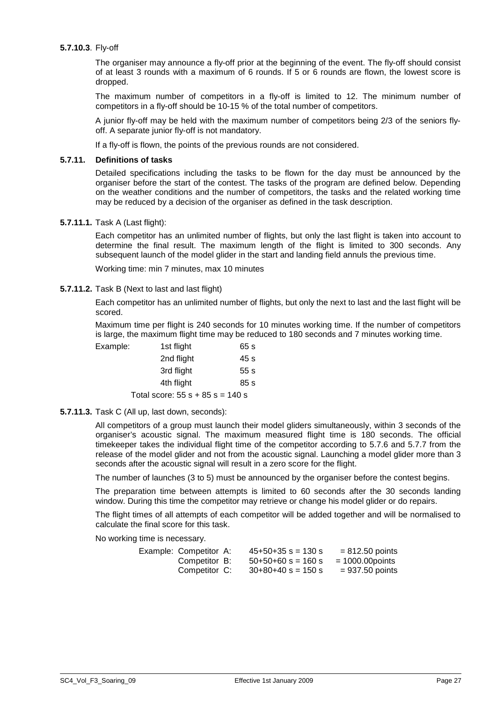#### **5.7.10.3**. Fly-off

The organiser may announce a fly-off prior at the beginning of the event. The fly-off should consist of at least 3 rounds with a maximum of 6 rounds. If 5 or 6 rounds are flown, the lowest score is dropped.

The maximum number of competitors in a fly-off is limited to 12. The minimum number of competitors in a fly-off should be 10-15 % of the total number of competitors.

A junior fly-off may be held with the maximum number of competitors being 2/3 of the seniors flyoff. A separate junior fly-off is not mandatory.

If a fly-off is flown, the points of the previous rounds are not considered.

#### **5.7.11. Definitions of tasks**

Detailed specifications including the tasks to be flown for the day must be announced by the organiser before the start of the contest. The tasks of the program are defined below. Depending on the weather conditions and the number of competitors, the tasks and the related working time may be reduced by a decision of the organiser as defined in the task description.

#### **5.7.11.1.** Task A (Last flight):

Each competitor has an unlimited number of flights, but only the last flight is taken into account to determine the final result. The maximum length of the flight is limited to 300 seconds. Any subsequent launch of the model glider in the start and landing field annuls the previous time.

Working time: min 7 minutes, max 10 minutes

#### **5.7.11.2.** Task B (Next to last and last flight)

Each competitor has an unlimited number of flights, but only the next to last and the last flight will be scored.

Maximum time per flight is 240 seconds for 10 minutes working time. If the number of competitors is large, the maximum flight time may be reduced to 180 seconds and 7 minutes working time.

| Example: | 1st flight                         | 65 s |
|----------|------------------------------------|------|
|          | 2nd flight                         | 45 s |
|          | 3rd flight                         | 55s  |
|          | 4th flight                         | 85 s |
|          | Total score: $55 s + 85 s = 140 s$ |      |

#### **5.7.11.3.** Task C (All up, last down, seconds):

All competitors of a group must launch their model gliders simultaneously, within 3 seconds of the organiser's acoustic signal. The maximum measured flight time is 180 seconds. The official timekeeper takes the individual flight time of the competitor according to 5.7.6 and 5.7.7 from the release of the model glider and not from the acoustic signal. Launching a model glider more than 3 seconds after the acoustic signal will result in a zero score for the flight.

The number of launches (3 to 5) must be announced by the organiser before the contest begins.

The preparation time between attempts is limited to 60 seconds after the 30 seconds landing window. During this time the competitor may retrieve or change his model glider or do repairs.

The flight times of all attempts of each competitor will be added together and will be normalised to calculate the final score for this task.

No working time is necessary.

| Example: Competitor A: | $45+50+35$ s = 130 s | $= 812.50$ points  |
|------------------------|----------------------|--------------------|
| Competitor B:          | $50+50+60$ s = 160 s | $= 1000.00$ points |
| Competitor C:          | $30+80+40 s = 150 s$ | $= 937.50$ points  |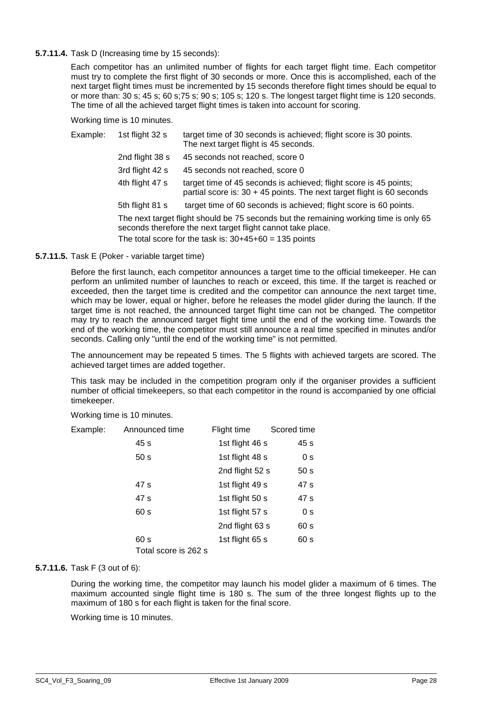#### **5.7.11.4.** Task D (Increasing time by 15 seconds):

Each competitor has an unlimited number of flights for each target flight time. Each competitor must try to complete the first flight of 30 seconds or more. Once this is accomplished, each of the next target flight times must be incremented by 15 seconds therefore flight times should be equal to or more than: 30 s; 45 s; 60 s;75 s; 90 s; 105 s; 120 s. The longest target flight time is 120 seconds. The time of all the achieved target flight times is taken into account for scoring.

Working time is 10 minutes.

| Example: | 1st flight 32 s                                                                                                                                      | target time of 30 seconds is achieved; flight score is 30 points.<br>The next target flight is 45 seconds.                                    |  |  |
|----------|------------------------------------------------------------------------------------------------------------------------------------------------------|-----------------------------------------------------------------------------------------------------------------------------------------------|--|--|
|          | 2nd flight 38 s                                                                                                                                      | 45 seconds not reached, score 0                                                                                                               |  |  |
|          | 3rd flight 42 s                                                                                                                                      | 45 seconds not reached, score 0                                                                                                               |  |  |
|          | 4th flight 47 s                                                                                                                                      | target time of 45 seconds is achieved; flight score is 45 points;<br>partial score is: $30 + 45$ points. The next target flight is 60 seconds |  |  |
|          | 5th flight 81 s                                                                                                                                      | target time of 60 seconds is achieved; flight score is 60 points.                                                                             |  |  |
|          | The next target flight should be 75 seconds but the remaining working time is only 65<br>seconds therefore the next target flight cannot take place. |                                                                                                                                               |  |  |
|          | The total score for the task is: $30+45+60 = 135$ points                                                                                             |                                                                                                                                               |  |  |

#### **5.7.11.5.** Task E (Poker - variable target time)

Before the first launch, each competitor announces a target time to the official timekeeper. He can perform an unlimited number of launches to reach or exceed, this time. If the target is reached or exceeded, then the target time is credited and the competitor can announce the next target time, which may be lower, equal or higher, before he releases the model glider during the launch. If the target time is not reached, the announced target flight time can not be changed. The competitor may try to reach the announced target flight time until the end of the working time. Towards the end of the working time, the competitor must still announce a real time specified in minutes and/or seconds. Calling only "until the end of the working time" is not permitted.

The announcement may be repeated 5 times. The 5 flights with achieved targets are scored. The achieved target times are added together.

This task may be included in the competition program only if the organiser provides a sufficient number of official timekeepers, so that each competitor in the round is accompanied by one official timekeeper.

Working time is 10 minutes.

| Example: | Announced time       | Flight time     | Scored time     |
|----------|----------------------|-----------------|-----------------|
|          | 45 s                 | 1st flight 46 s | 45 s            |
|          | 50 <sub>s</sub>      | 1st flight 48 s | 0 <sub>s</sub>  |
|          |                      | 2nd flight 52 s | 50 <sub>s</sub> |
|          | 47 s                 | 1st flight 49 s | 47 s            |
|          | 47 s                 | 1st flight 50 s | 47 s            |
|          | 60 s                 | 1st flight 57 s | 0 s             |
|          |                      | 2nd flight 63 s | 60 s            |
|          | 60 s                 | 1st flight 65 s | 60 s            |
|          | Total score is 262 s |                 |                 |

#### **5.7.11.6.** Task F (3 out of 6):

During the working time, the competitor may launch his model glider a maximum of 6 times. The maximum accounted single flight time is 180 s. The sum of the three longest flights up to the maximum of 180 s for each flight is taken for the final score.

Working time is 10 minutes.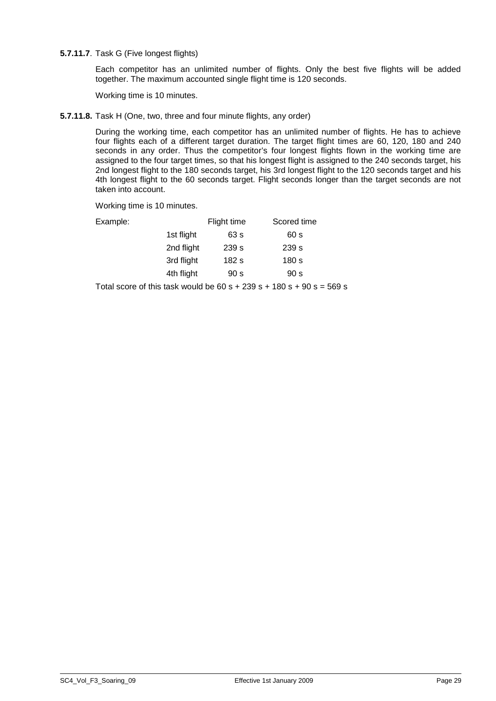#### **5.7.11.7**. Task G (Five longest flights)

Each competitor has an unlimited number of flights. Only the best five flights will be added together. The maximum accounted single flight time is 120 seconds.

Working time is 10 minutes.

#### **5.7.11.8.** Task H (One, two, three and four minute flights, any order)

During the working time, each competitor has an unlimited number of flights. He has to achieve four flights each of a different target duration. The target flight times are 60, 120, 180 and 240 seconds in any order. Thus the competitor's four longest flights flown in the working time are assigned to the four target times, so that his longest flight is assigned to the 240 seconds target, his 2nd longest flight to the 180 seconds target, his 3rd longest flight to the 120 seconds target and his 4th longest flight to the 60 seconds target. Flight seconds longer than the target seconds are not taken into account.

Working time is 10 minutes.

| Example: |            | Flight time      | Scored time      |
|----------|------------|------------------|------------------|
|          | 1st flight | 63 s             | 60 s             |
|          | 2nd flight | 239 <sub>s</sub> | 239 <sub>s</sub> |
|          | 3rd flight | 182 s            | 180s             |
|          | 4th flight | 90 <sub>s</sub>  | 90 <sub>s</sub>  |
|          |            |                  |                  |

Total score of this task would be  $60 s + 239 s + 180 s + 90 s = 569 s$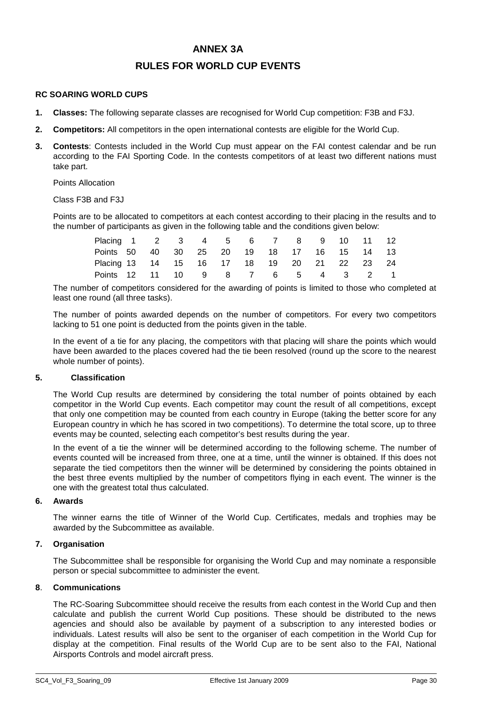# **ANNEX 3A**

# **RULES FOR WORLD CUP EVENTS**

#### **RC SOARING WORLD CUPS**

- **1. Classes:** The following separate classes are recognised for World Cup competition: F3B and F3J.
- **2. Competitors:** All competitors in the open international contests are eligible for the World Cup.
- **3. Contests**: Contests included in the World Cup must appear on the FAI contest calendar and be run according to the FAI Sporting Code. In the contests competitors of at least two different nations must take part.

Points Allocation

Class F3B and F3J

Points are to be allocated to competitors at each contest according to their placing in the results and to the number of participants as given in the following table and the conditions given below:

| Placing 1 2 3 4 5 6 7 8 9 |  |    |  |                         |  | 10 11 12 |  |
|---------------------------|--|----|--|-------------------------|--|----------|--|
| Points 50                 |  |    |  | 40 30 25 20 19 18 17 16 |  | 15 14 13 |  |
| Placing 13 14             |  |    |  |                         |  | 22 23 24 |  |
| Points 12 11              |  | 10 |  | 9 8 7 6 5 4 3 2 1       |  |          |  |

The number of competitors considered for the awarding of points is limited to those who completed at least one round (all three tasks).

The number of points awarded depends on the number of competitors. For every two competitors lacking to 51 one point is deducted from the points given in the table.

In the event of a tie for any placing, the competitors with that placing will share the points which would have been awarded to the places covered had the tie been resolved (round up the score to the nearest whole number of points).

#### **5. Classification**

The World Cup results are determined by considering the total number of points obtained by each competitor in the World Cup events. Each competitor may count the result of all competitions, except that only one competition may be counted from each country in Europe (taking the better score for any European country in which he has scored in two competitions). To determine the total score, up to three events may be counted, selecting each competitor's best results during the year.

In the event of a tie the winner will be determined according to the following scheme. The number of events counted will be increased from three, one at a time, until the winner is obtained. If this does not separate the tied competitors then the winner will be determined by considering the points obtained in the best three events multiplied by the number of competitors flying in each event. The winner is the one with the greatest total thus calculated.

#### **6. Awards**

The winner earns the title of Winner of the World Cup. Certificates, medals and trophies may be awarded by the Subcommittee as available.

#### **7. Organisation**

The Subcommittee shall be responsible for organising the World Cup and may nominate a responsible person or special subcommittee to administer the event.

#### **8**. **Communications**

The RC-Soaring Subcommittee should receive the results from each contest in the World Cup and then calculate and publish the current World Cup positions. These should be distributed to the news agencies and should also be available by payment of a subscription to any interested bodies or individuals. Latest results will also be sent to the organiser of each competition in the World Cup for display at the competition. Final results of the World Cup are to be sent also to the FAI, National Airsports Controls and model aircraft press.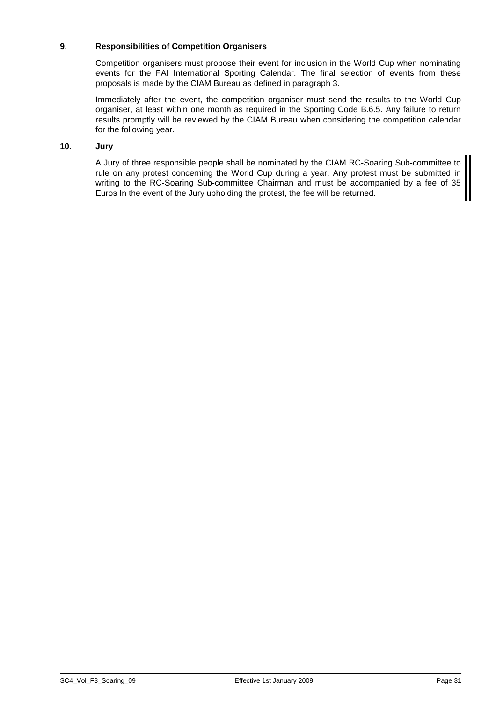#### **9**. **Responsibilities of Competition Organisers**

 Competition organisers must propose their event for inclusion in the World Cup when nominating events for the FAI International Sporting Calendar. The final selection of events from these proposals is made by the CIAM Bureau as defined in paragraph 3.

 Immediately after the event, the competition organiser must send the results to the World Cup organiser, at least within one month as required in the Sporting Code B.6.5. Any failure to return results promptly will be reviewed by the CIAM Bureau when considering the competition calendar for the following year.

### **10. Jury**

 A Jury of three responsible people shall be nominated by the CIAM RC-Soaring Sub-committee to rule on any protest concerning the World Cup during a year. Any protest must be submitted in writing to the RC-Soaring Sub-committee Chairman and must be accompanied by a fee of 35 Euros In the event of the Jury upholding the protest, the fee will be returned.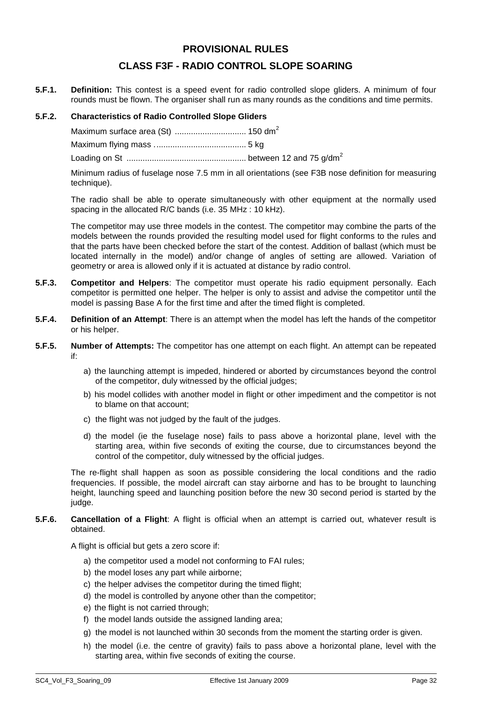# **PROVISIONAL RULES**

# **CLASS F3F - RADIO CONTROL SLOPE SOARING**

**5.F.1. Definition:** This contest is a speed event for radio controlled slope gliders. A minimum of four rounds must be flown. The organiser shall run as many rounds as the conditions and time permits.

# **5.F.2. Characteristics of Radio Controlled Slope Gliders**

Maximum surface area (St) ................................. 150 dm<sup>2</sup>

Maximum flying mass ........................................ 5 kg

Loading on St .................................................... between 12 and 75 g/dm<sup>2</sup>

Minimum radius of fuselage nose 7.5 mm in all orientations (see F3B nose definition for measuring technique).

The radio shall be able to operate simultaneously with other equipment at the normally used spacing in the allocated R/C bands (i.e. 35 MHz : 10 kHz).

The competitor may use three models in the contest. The competitor may combine the parts of the models between the rounds provided the resulting model used for flight conforms to the rules and that the parts have been checked before the start of the contest. Addition of ballast (which must be located internally in the model) and/or change of angles of setting are allowed. Variation of geometry or area is allowed only if it is actuated at distance by radio control.

- **5.F.3. Competitor and Helpers**: The competitor must operate his radio equipment personally. Each competitor is permitted one helper. The helper is only to assist and advise the competitor until the model is passing Base A for the first time and after the timed flight is completed.
- **5.F.4. Definition of an Attempt**: There is an attempt when the model has left the hands of the competitor or his helper.
- **5.F.5. Number of Attempts:** The competitor has one attempt on each flight. An attempt can be repeated if:
	- a) the launching attempt is impeded, hindered or aborted by circumstances beyond the control of the competitor, duly witnessed by the official judges;
	- b) his model collides with another model in flight or other impediment and the competitor is not to blame on that account;
	- c) the flight was not judged by the fault of the judges.
	- d) the model (ie the fuselage nose) fails to pass above a horizontal plane, level with the starting area, within five seconds of exiting the course, due to circumstances beyond the control of the competitor, duly witnessed by the official judges.

The re-flight shall happen as soon as possible considering the local conditions and the radio frequencies. If possible, the model aircraft can stay airborne and has to be brought to launching height, launching speed and launching position before the new 30 second period is started by the judge.

**5.F.6. Cancellation of a Flight**: A flight is official when an attempt is carried out, whatever result is obtained.

A flight is official but gets a zero score if:

- a) the competitor used a model not conforming to FAI rules;
- b) the model loses any part while airborne;
- c) the helper advises the competitor during the timed flight;
- d) the model is controlled by anyone other than the competitor;
- e) the flight is not carried through;
- f) the model lands outside the assigned landing area;
- g) the model is not launched within 30 seconds from the moment the starting order is given.
- h) the model (i.e. the centre of gravity) fails to pass above a horizontal plane, level with the starting area, within five seconds of exiting the course.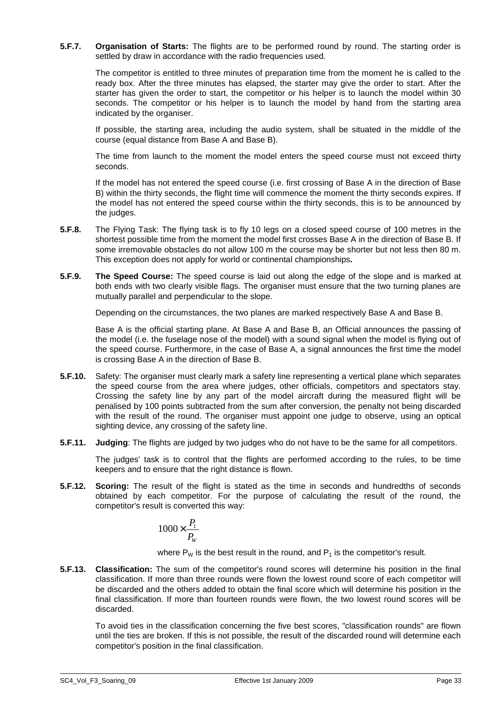**5.F.7. Organisation of Starts:** The flights are to be performed round by round. The starting order is settled by draw in accordance with the radio frequencies used.

The competitor is entitled to three minutes of preparation time from the moment he is called to the ready box. After the three minutes has elapsed, the starter may give the order to start. After the starter has given the order to start, the competitor or his helper is to launch the model within 30 seconds. The competitor or his helper is to launch the model by hand from the starting area indicated by the organiser.

If possible, the starting area, including the audio system, shall be situated in the middle of the course (equal distance from Base A and Base B).

The time from launch to the moment the model enters the speed course must not exceed thirty seconds.

If the model has not entered the speed course (i.e. first crossing of Base A in the direction of Base B) within the thirty seconds, the flight time will commence the moment the thirty seconds expires. If the model has not entered the speed course within the thirty seconds, this is to be announced by the judges.

- **5.F.8.** The Flying Task: The flying task is to fly 10 legs on a closed speed course of 100 metres in the shortest possible time from the moment the model first crosses Base A in the direction of Base B. If some irremovable obstacles do not allow 100 m the course may be shorter but not less then 80 m. This exception does not apply for world or continental championships**.**
- **5.F.9. The Speed Course:** The speed course is laid out along the edge of the slope and is marked at both ends with two clearly visible flags. The organiser must ensure that the two turning planes are mutually parallel and perpendicular to the slope.

Depending on the circumstances, the two planes are marked respectively Base A and Base B.

Base A is the official starting plane. At Base A and Base B, an Official announces the passing of the model (i.e. the fuselage nose of the model) with a sound signal when the model is flying out of the speed course. Furthermore, in the case of Base A, a signal announces the first time the model is crossing Base A in the direction of Base B.

- **5.F.10.** Safety: The organiser must clearly mark a safety line representing a vertical plane which separates the speed course from the area where judges, other officials, competitors and spectators stay. Crossing the safety line by any part of the model aircraft during the measured flight will be penalised by 100 points subtracted from the sum after conversion, the penalty not being discarded with the result of the round. The organiser must appoint one judge to observe, using an optical sighting device, any crossing of the safety line.
- **5.F.11. Judging**: The flights are judged by two judges who do not have to be the same for all competitors.

The judges' task is to control that the flights are performed according to the rules, to be time keepers and to ensure that the right distance is flown.

**5.F.12. Scoring:** The result of the flight is stated as the time in seconds and hundredths of seconds obtained by each competitor. For the purpose of calculating the result of the round, the competitor's result is converted this way:

$$
1000 \times \frac{P_{\rm 1}}{P_{\rm W}}
$$

where  $P_W$  is the best result in the round, and  $P_1$  is the competitor's result.

**5.F.13. Classification:** The sum of the competitor's round scores will determine his position in the final classification. If more than three rounds were flown the lowest round score of each competitor will be discarded and the others added to obtain the final score which will determine his position in the final classification. If more than fourteen rounds were flown, the two lowest round scores will be discarded.

To avoid ties in the classification concerning the five best scores, "classification rounds" are flown until the ties are broken. If this is not possible, the result of the discarded round will determine each competitor's position in the final classification.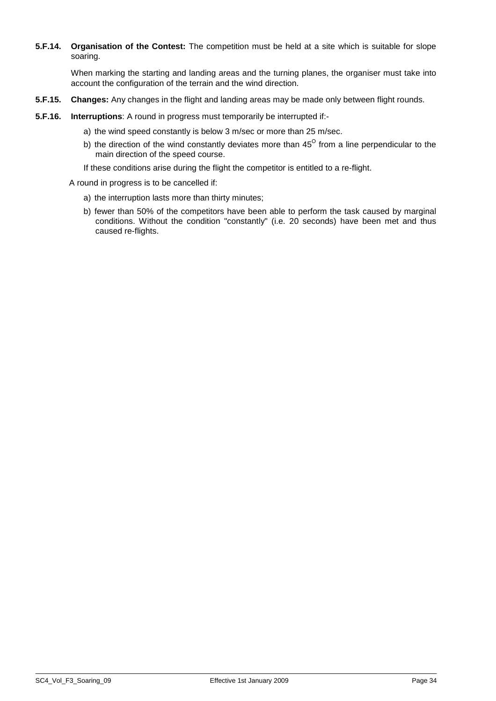**5.F.14. Organisation of the Contest:** The competition must be held at a site which is suitable for slope soaring.

When marking the starting and landing areas and the turning planes, the organiser must take into account the configuration of the terrain and the wind direction.

- **5.F.15. Changes:** Any changes in the flight and landing areas may be made only between flight rounds.
- **5.F.16. Interruptions**: A round in progress must temporarily be interrupted if:
	- a) the wind speed constantly is below 3 m/sec or more than 25 m/sec.
	- b) the direction of the wind constantly deviates more than 45<sup>°</sup> from a line perpendicular to the main direction of the speed course.
	- If these conditions arise during the flight the competitor is entitled to a re-flight.

A round in progress is to be cancelled if:

- a) the interruption lasts more than thirty minutes;
- b) fewer than 50% of the competitors have been able to perform the task caused by marginal conditions. Without the condition "constantly" (i.e. 20 seconds) have been met and thus caused re-flights.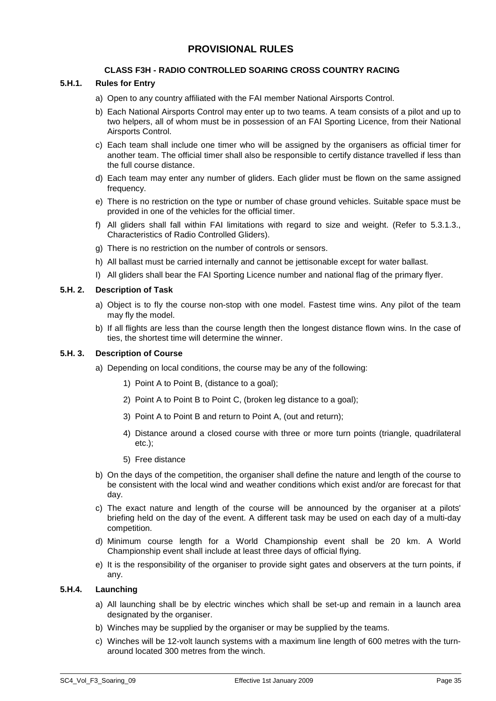# **PROVISIONAL RULES**

#### **CLASS F3H - RADIO CONTROLLED SOARING CROSS COUNTRY RACING**

#### **5.H.1. Rules for Entry**

- a) Open to any country affiliated with the FAI member National Airsports Control.
- b) Each National Airsports Control may enter up to two teams. A team consists of a pilot and up to two helpers, all of whom must be in possession of an FAI Sporting Licence, from their National Airsports Control.
- c) Each team shall include one timer who will be assigned by the organisers as official timer for another team. The official timer shall also be responsible to certify distance travelled if less than the full course distance.
- d) Each team may enter any number of gliders. Each glider must be flown on the same assigned frequency.
- e) There is no restriction on the type or number of chase ground vehicles. Suitable space must be provided in one of the vehicles for the official timer.
- f) All gliders shall fall within FAI limitations with regard to size and weight. (Refer to 5.3.1.3., Characteristics of Radio Controlled Gliders).
- g) There is no restriction on the number of controls or sensors.
- h) All ballast must be carried internally and cannot be jettisonable except for water ballast.
- I) All gliders shall bear the FAI Sporting Licence number and national flag of the primary flyer.

#### **5.H. 2. Description of Task**

- a) Object is to fly the course non-stop with one model. Fastest time wins. Any pilot of the team may fly the model.
- b) If all flights are less than the course length then the longest distance flown wins. In the case of ties, the shortest time will determine the winner.

#### **5.H. 3. Description of Course**

- a) Depending on local conditions, the course may be any of the following:
	- 1) Point A to Point B, (distance to a goal);
	- 2) Point A to Point B to Point C, (broken leg distance to a goal);
	- 3) Point A to Point B and return to Point A, (out and return);
	- 4) Distance around a closed course with three or more turn points (triangle, quadrilateral etc.);
	- 5) Free distance
- b) On the days of the competition, the organiser shall define the nature and length of the course to be consistent with the local wind and weather conditions which exist and/or are forecast for that day.
- c) The exact nature and length of the course will be announced by the organiser at a pilots' briefing held on the day of the event. A different task may be used on each day of a multi-day competition.
- d) Minimum course length for a World Championship event shall be 20 km. A World Championship event shall include at least three days of official flying.
- e) It is the responsibility of the organiser to provide sight gates and observers at the turn points, if any.

#### **5.H.4. Launching**

- a) All launching shall be by electric winches which shall be set-up and remain in a launch area designated by the organiser.
- b) Winches may be supplied by the organiser or may be supplied by the teams.
- c) Winches will be 12-volt launch systems with a maximum line length of 600 metres with the turnaround located 300 metres from the winch.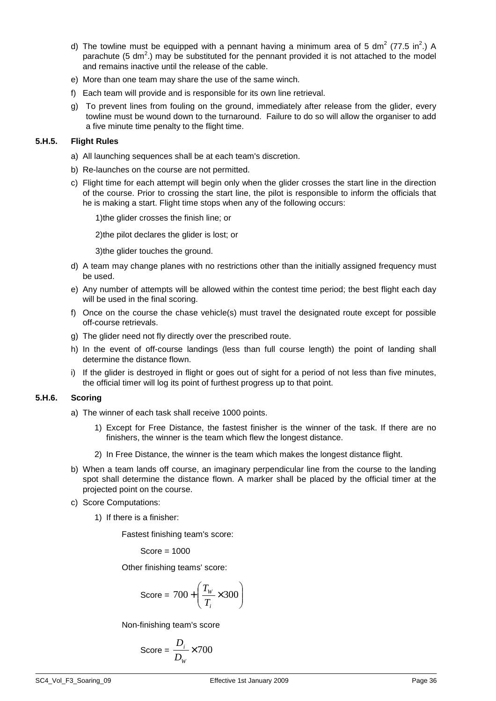- d) The towline must be equipped with a pennant having a minimum area of 5 dm<sup>2</sup> (77.5 in<sup>2</sup>.) A parachute (5 dm<sup>2</sup>.) may be substituted for the pennant provided it is not attached to the model and remains inactive until the release of the cable.
- e) More than one team may share the use of the same winch.
- f) Each team will provide and is responsible for its own line retrieval.
- g) To prevent lines from fouling on the ground, immediately after release from the glider, every towline must be wound down to the turnaround. Failure to do so will allow the organiser to add a five minute time penalty to the flight time.

### **5.H.5. Flight Rules**

- a) All launching sequences shall be at each team's discretion.
- b) Re-launches on the course are not permitted.
- c) Flight time for each attempt will begin only when the glider crosses the start line in the direction of the course. Prior to crossing the start line, the pilot is responsible to inform the officials that he is making a start. Flight time stops when any of the following occurs:

1)the glider crosses the finish line; or

2)the pilot declares the glider is lost; or

3)the glider touches the ground.

- d) A team may change planes with no restrictions other than the initially assigned frequency must be used.
- e) Any number of attempts will be allowed within the contest time period; the best flight each day will be used in the final scoring.
- f) Once on the course the chase vehicle(s) must travel the designated route except for possible off-course retrievals.
- g) The glider need not fly directly over the prescribed route.
- h) In the event of off-course landings (less than full course length) the point of landing shall determine the distance flown.
- i) If the glider is destroyed in flight or goes out of sight for a period of not less than five minutes, the official timer will log its point of furthest progress up to that point.

#### **5.H.6. Scoring**

- a) The winner of each task shall receive 1000 points.
	- 1) Except for Free Distance, the fastest finisher is the winner of the task. If there are no finishers, the winner is the team which flew the longest distance.
	- 2) In Free Distance, the winner is the team which makes the longest distance flight.
- b) When a team lands off course, an imaginary perpendicular line from the course to the landing spot shall determine the distance flown. A marker shall be placed by the official timer at the projected point on the course.
- c) Score Computations:
	- 1) If there is a finisher:

Fastest finishing team's score:

Score = 1000

Other finishing teams' score:

$$
\text{Score} = 700 + \left(\frac{T_w}{T_i} \times 300\right)
$$

Non-finishing team's score

$$
\text{Score} = \frac{D_i}{D_w} \times 700
$$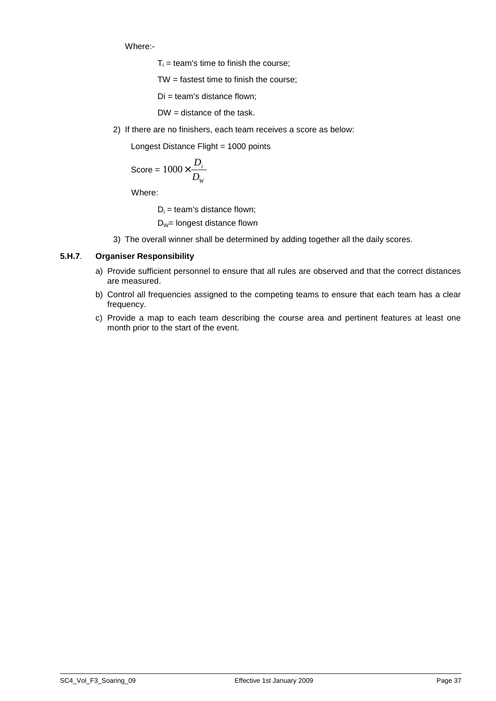Where:-

 $T_i$  = team's time to finish the course;

TW = fastest time to finish the course;

Di = team's distance flown;

DW = distance of the task.

2) If there are no finishers, each team receives a score as below:

Longest Distance Flight = 1000 points

$$
\text{Score} = 1000 \times \frac{D_i}{D_w}
$$

Where:

 $D_i$  = team's distance flown;

 $D_W$ = longest distance flown

3) The overall winner shall be determined by adding together all the daily scores.

#### **5.H.7**. **Organiser Responsibility**

- a) Provide sufficient personnel to ensure that all rules are observed and that the correct distances are measured.
- b) Control all frequencies assigned to the competing teams to ensure that each team has a clear frequency.
- c) Provide a map to each team describing the course area and pertinent features at least one month prior to the start of the event.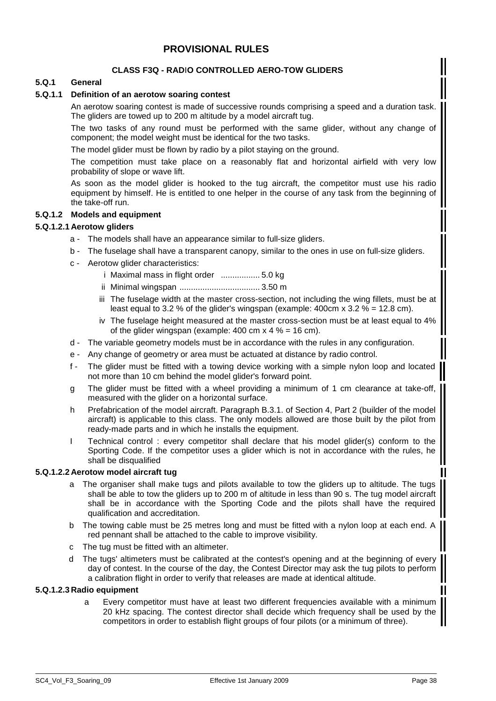# **PROVISIONAL RULES**

### **CLASS F3Q - RAD**I**O CONTROLLED AERO-TOW GLIDERS**

#### **5.Q.1 General**

#### **5.Q.1.1 Definition of an aerotow soaring contest**

An aerotow soaring contest is made of successive rounds comprising a speed and a duration task. The gliders are towed up to 200 m altitude by a model aircraft tug.

The two tasks of any round must be performed with the same glider, without any change of component; the model weight must be identical for the two tasks.

The model glider must be flown by radio by a pilot staying on the ground.

The competition must take place on a reasonably flat and horizontal airfield with very low probability of slope or wave lift.

As soon as the model glider is hooked to the tug aircraft, the competitor must use his radio equipment by himself. He is entitled to one helper in the course of any task from the beginning of the take-off run.

#### **5.Q.1.2 Models and equipment**

#### **5.Q.1.2.1 Aerotow gliders**

- a The models shall have an appearance similar to full-size gliders.
- b The fuselage shall have a transparent canopy, similar to the ones in use on full-size gliders.
- c Aerotow glider characteristics:
	- i Maximal mass in flight order ................. 5.0 kg
	- ii Minimal wingspan ................................... 3.50 m
	- iii The fuselage width at the master cross-section, not including the wing fillets, must be at least equal to 3.2 % of the glider's wingspan (example:  $400 \text{cm} \times 3.2$  % = 12.8 cm).
	- iv The fuselage height measured at the master cross-section must be at least equal to 4% of the glider wingspan (example:  $400 \text{ cm} \times 4 \% = 16 \text{ cm}$ ).
- d The variable geometry models must be in accordance with the rules in any configuration.
- e Any change of geometry or area must be actuated at distance by radio control.
- f The glider must be fitted with a towing device working with a simple nylon loop and located not more than 10 cm behind the model glider's forward point.
- g The glider must be fitted with a wheel providing a minimum of 1 cm clearance at take-off, measured with the glider on a horizontal surface.
- h Prefabrication of the model aircraft. Paragraph B.3.1. of Section 4, Part 2 (builder of the model aircraft) is applicable to this class. The only models allowed are those built by the pilot from ready-made parts and in which he installs the equipment.
- I Technical control : every competitor shall declare that his model glider(s) conform to the Sporting Code. If the competitor uses a glider which is not in accordance with the rules, he shall be disqualified

#### **5.Q.1.2.2 Aerotow model aircraft tug**

- a The organiser shall make tugs and pilots available to tow the gliders up to altitude. The tugs shall be able to tow the gliders up to 200 m of altitude in less than 90 s. The tug model aircraft shall be in accordance with the Sporting Code and the pilots shall have the required qualification and accreditation.
- b The towing cable must be 25 metres long and must be fitted with a nylon loop at each end. A red pennant shall be attached to the cable to improve visibility.
- c The tug must be fitted with an altimeter.
- d The tugs' altimeters must be calibrated at the contest's opening and at the beginning of every day of contest. In the course of the day, the Contest Director may ask the tug pilots to perform a calibration flight in order to verify that releases are made at identical altitude.

#### **5.Q.1.2.3 Radio equipment**

a Every competitor must have at least two different frequencies available with a minimum 20 kHz spacing. The contest director shall decide which frequency shall be used by the competitors in order to establish flight groups of four pilots (or a minimum of three).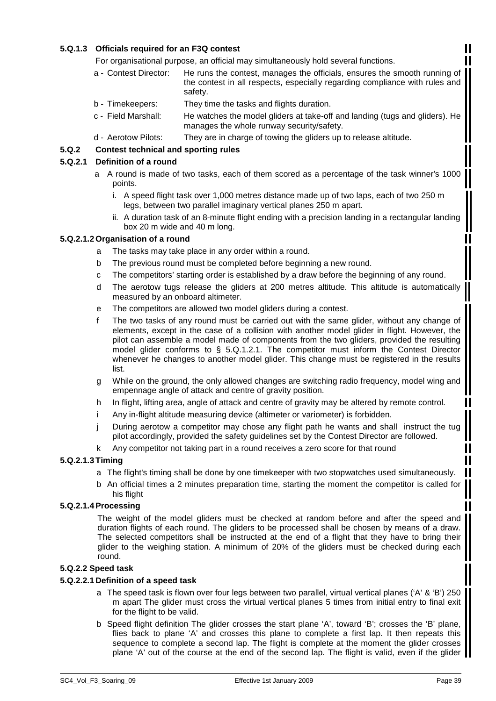#### **5.Q.1.3 Officials required for an F3Q contest**

For organisational purpose, an official may simultaneously hold several functions.

- a Contest Director: He runs the contest, manages the officials, ensures the smooth running of the contest in all respects, especially regarding compliance with rules and safety.
- b Timekeepers: They time the tasks and flights duration.
- c Field Marshall: He watches the model gliders at take-off and landing (tugs and gliders). He manages the whole runway security/safety.
- d Aerotow Pilots: They are in charge of towing the gliders up to release altitude.

# **5.Q.2 Contest technical and sporting rules**

#### **5.Q.2.1 Definition of a round**

- a A round is made of two tasks, each of them scored as a percentage of the task winner's 1000 points.
	- i. A speed flight task over 1,000 metres distance made up of two laps, each of two 250 m legs, between two parallel imaginary vertical planes 250 m apart.
	- ii. A duration task of an 8-minute flight ending with a precision landing in a rectangular landing box 20 m wide and 40 m long.

#### **5.Q.2.1.2 Organisation of a round**

- a The tasks may take place in any order within a round.
- b The previous round must be completed before beginning a new round.
- c The competitors' starting order is established by a draw before the beginning of any round.
- d The aerotow tugs release the gliders at 200 metres altitude. This altitude is automatically measured by an onboard altimeter.
- e The competitors are allowed two model gliders during a contest.
- f The two tasks of any round must be carried out with the same glider, without any change of elements, except in the case of a collision with another model glider in flight. However, the pilot can assemble a model made of components from the two gliders, provided the resulting model glider conforms to § 5.Q.1.2.1. The competitor must inform the Contest Director whenever he changes to another model glider. This change must be registered in the results list.
- g While on the ground, the only allowed changes are switching radio frequency, model wing and empennage angle of attack and centre of gravity position.
- h In flight, lifting area, angle of attack and centre of gravity may be altered by remote control.
- i Any in-flight altitude measuring device (altimeter or variometer) is forbidden.
- j During aerotow a competitor may chose any flight path he wants and shall instruct the tug pilot accordingly, provided the safety guidelines set by the Contest Director are followed.
- k Any competitor not taking part in a round receives a zero score for that round

#### **5.Q.2.1.3 Timing**

- a The flight's timing shall be done by one timekeeper with two stopwatches used simultaneously.
- b An official times a 2 minutes preparation time, starting the moment the competitor is called for his flight

#### **5.Q.2.1.4 Processing**

The weight of the model gliders must be checked at random before and after the speed and duration flights of each round. The gliders to be processed shall be chosen by means of a draw. The selected competitors shall be instructed at the end of a flight that they have to bring their glider to the weighing station. A minimum of 20% of the gliders must be checked during each round.

#### **5.Q.2.2 Speed task**

#### **5.Q.2.2.1 Definition of a speed task**

- a The speed task is flown over four legs between two parallel, virtual vertical planes ('A' & 'B') 250 m apart The glider must cross the virtual vertical planes 5 times from initial entry to final exit for the flight to be valid.
- b Speed flight definition The glider crosses the start plane 'A', toward 'B'; crosses the 'B' plane, flies back to plane 'A' and crosses this plane to complete a first lap. It then repeats this sequence to complete a second lap. The flight is complete at the moment the glider crosses plane 'A' out of the course at the end of the second lap. The flight is valid, even if the glider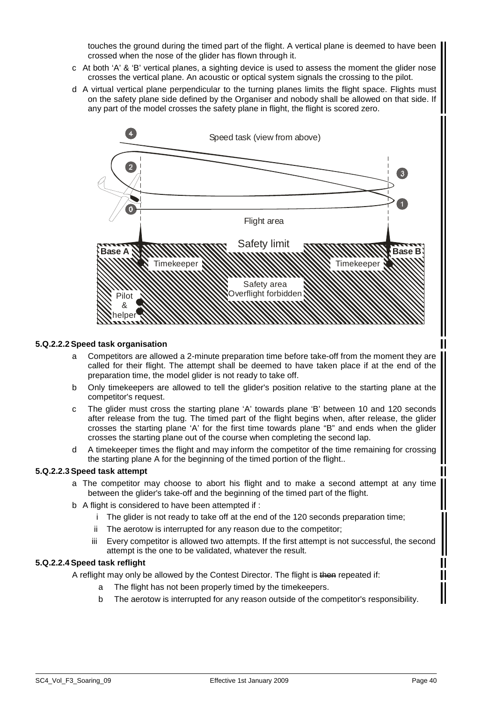touches the ground during the timed part of the flight. A vertical plane is deemed to have been crossed when the nose of the glider has flown through it.

- c At both 'A' & 'B' vertical planes, a sighting device is used to assess the moment the glider nose crosses the vertical plane. An acoustic or optical system signals the crossing to the pilot.
- d A virtual vertical plane perpendicular to the turning planes limits the flight space. Flights must on the safety plane side defined by the Organiser and nobody shall be allowed on that side. If any part of the model crosses the safety plane in flight, the flight is scored zero.



#### **5.Q.2.2.2 Speed task organisation**

- a Competitors are allowed a 2-minute preparation time before take-off from the moment they are called for their flight. The attempt shall be deemed to have taken place if at the end of the preparation time, the model glider is not ready to take off.
- b Only timekeepers are allowed to tell the glider's position relative to the starting plane at the competitor's request.
- c The glider must cross the starting plane 'A' towards plane 'B' between 10 and 120 seconds after release from the tug. The timed part of the flight begins when, after release, the glider crosses the starting plane 'A' for the first time towards plane "B" and ends when the glider crosses the starting plane out of the course when completing the second lap.
- d A timekeeper times the flight and may inform the competitor of the time remaining for crossing the starting plane A for the beginning of the timed portion of the flight..

#### **5.Q.2.2.3 Speed task attempt**

- a The competitor may choose to abort his flight and to make a second attempt at any time between the glider's take-off and the beginning of the timed part of the flight.
- b A flight is considered to have been attempted if :
	- i The glider is not ready to take off at the end of the 120 seconds preparation time;
	- ii The aerotow is interrupted for any reason due to the competitor;
	- iii Every competitor is allowed two attempts. If the first attempt is not successful, the second attempt is the one to be validated, whatever the result.

#### **5.Q.2.2.4 Speed task reflight**

A reflight may only be allowed by the Contest Director. The flight is then repeated if:

- The flight has not been properly timed by the timekeepers.
- b The aerotow is interrupted for any reason outside of the competitor's responsibility.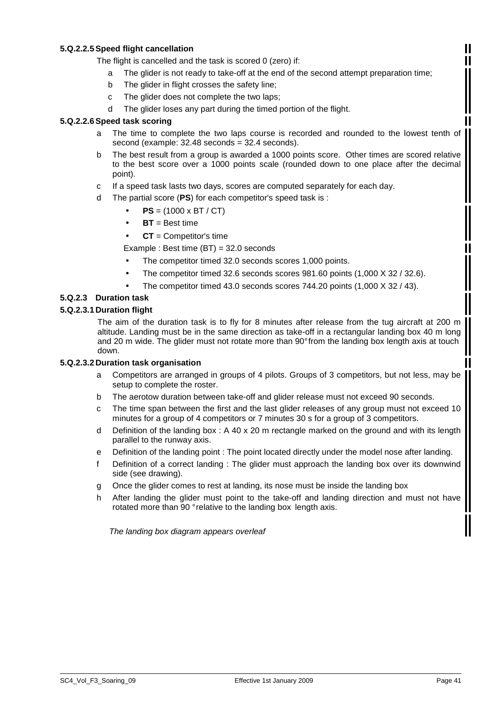#### **5.Q.2.2.5 Speed flight cancellation**

The flight is cancelled and the task is scored 0 (zero) if:

- a The glider is not ready to take-off at the end of the second attempt preparation time;
- b The glider in flight crosses the safety line;
- c The glider does not complete the two laps;
- d The glider loses any part during the timed portion of the flight.

#### **5.Q.2.2.6 Speed task scoring**

- a The time to complete the two laps course is recorded and rounded to the lowest tenth of second (example:  $32.48$  seconds =  $32.4$  seconds).
- b The best result from a group is awarded a 1000 points score. Other times are scored relative to the best score over a 1000 points scale (rounded down to one place after the decimal point).
- c If a speed task lasts two days, scores are computed separately for each day.
- d The partial score (**PS**) for each competitor's speed task is :
	- $PS = (1000 \times BT / CT)$
	- **BT** = Best time
	- **CT** = Competitor's time

Example : Best time (BT) = 32.0 seconds

- The competitor timed 32.0 seconds scores 1,000 points.
- The competitor timed 32.6 seconds scores 981.60 points (1,000 X 32 / 32.6).
- The competitor timed 43.0 seconds scores 744.20 points (1,000 X 32 / 43).

# **5.Q.2.3 Duration task**

#### **5.Q.2.3.1 Duration flight**

 The aim of the duration task is to fly for 8 minutes after release from the tug aircraft at 200 m altitude. Landing must be in the same direction as take-off in a rectangular landing box 40 m long and 20 m wide. The glider must not rotate more than 90° from the landing box length axis at touch down.

#### **5.Q.2.3.2 Duration task organisation**

- a Competitors are arranged in groups of 4 pilots. Groups of 3 competitors, but not less, may be setup to complete the roster.
- b The aerotow duration between take-off and glider release must not exceed 90 seconds.
- c The time span between the first and the last glider releases of any group must not exceed 10 minutes for a group of 4 competitors or 7 minutes 30 s for a group of 3 competitors.
- d Definition of the landing box : A 40 x 20 m rectangle marked on the ground and with its length parallel to the runway axis.
- e Definition of the landing point : The point located directly under the model nose after landing.
- f Definition of a correct landing : The glider must approach the landing box over its downwind side (see drawing).
- g Once the glider comes to rest at landing, its nose must be inside the landing box
- h After landing the glider must point to the take-off and landing direction and must not have rotated more than 90 ° relative to the landing box length axis.

The landing box diagram appears overleaf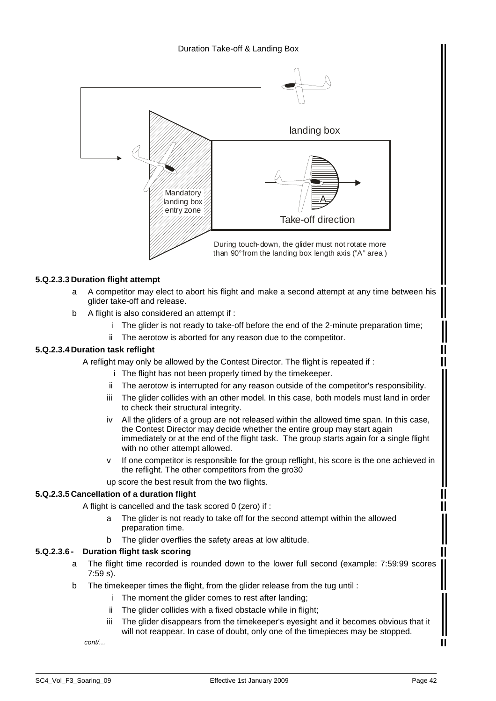#### Duration Take-off & Landing Box



#### **5.Q.2.3.3 Duration flight attempt**

- a A competitor may elect to abort his flight and make a second attempt at any time between his glider take-off and release.
- b A flight is also considered an attempt if :
	- i The glider is not ready to take-off before the end of the 2-minute preparation time;
	- ii The aerotow is aborted for any reason due to the competitor.

#### **5.Q.2.3.4 Duration task reflight**

A reflight may only be allowed by the Contest Director. The flight is repeated if :

- i The flight has not been properly timed by the timekeeper.
- ii The aerotow is interrupted for any reason outside of the competitor's responsibility.
- iii The glider collides with an other model. In this case, both models must land in order to check their structural integrity.
- iv All the gliders of a group are not released within the allowed time span. In this case, the Contest Director may decide whether the entire group may start again immediately or at the end of the flight task. The group starts again for a single flight with no other attempt allowed.
- v If one competitor is responsible for the group reflight, his score is the one achieved in the reflight. The other competitors from the gro30
- up score the best result from the two flights.

#### **5.Q.2.3.5 Cancellation of a duration flight**

A flight is cancelled and the task scored 0 (zero) if :

- a The glider is not ready to take off for the second attempt within the allowed preparation time.
- b The glider overflies the safety areas at low altitude.

#### **5.Q.2.3.6 - Duration flight task scoring**

- a The flight time recorded is rounded down to the lower full second (example: 7:59:99 scores 7:59 s).
- b The timekeeper times the flight, from the glider release from the tug until :
	- i The moment the glider comes to rest after landing;
	- ii The glider collides with a fixed obstacle while in flight;
	- iii The glider disappears from the timekeeper's eyesight and it becomes obvious that it will not reappear. In case of doubt, only one of the timepieces may be stopped.

cont/…